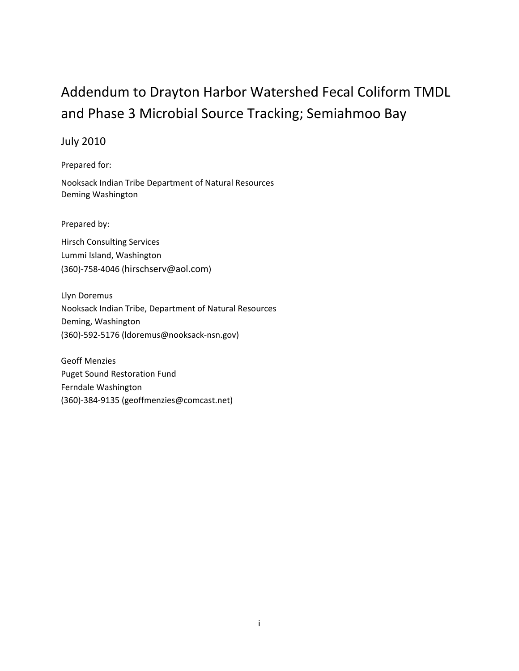## Addendum to Drayton Harbor Watershed Fecal Coliform TMDL and Phase 3 Microbial Source Tracking; Semiahmoo Bay

### July 2010

Prepared for:

Nooksack Indian Tribe Department of Natural Resources Deming Washington

Prepared by:

Hirsch Consulting Services Lummi Island, Washington (360)-758-4046 [\(hirschserv@aol.com\)](mailto:hirschserv@aol.com)

Llyn Doremus Nooksack Indian Tribe, Department of Natural Resources Deming, Washington (360)-592-5176 [\(ldoremus@nooksack-nsn.gov\)](mailto:ldoremus@nooksack-nsn.gov)

Geoff Menzies Puget Sound Restoration Fund Ferndale Washington (360)-384-9135 (geoffmenzies@comcast.net)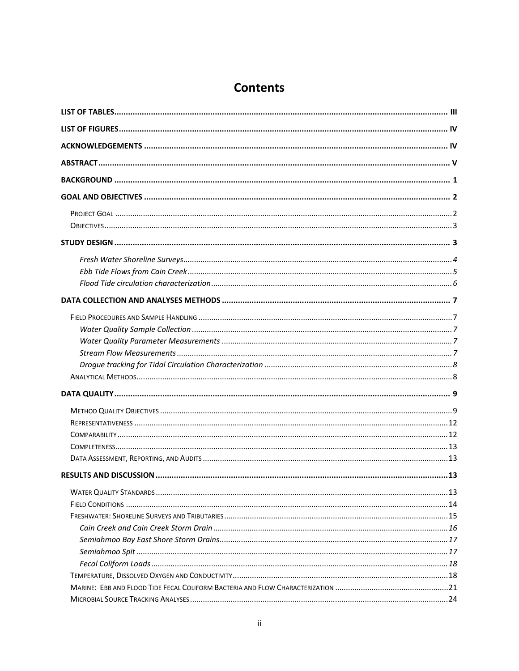### **Contents**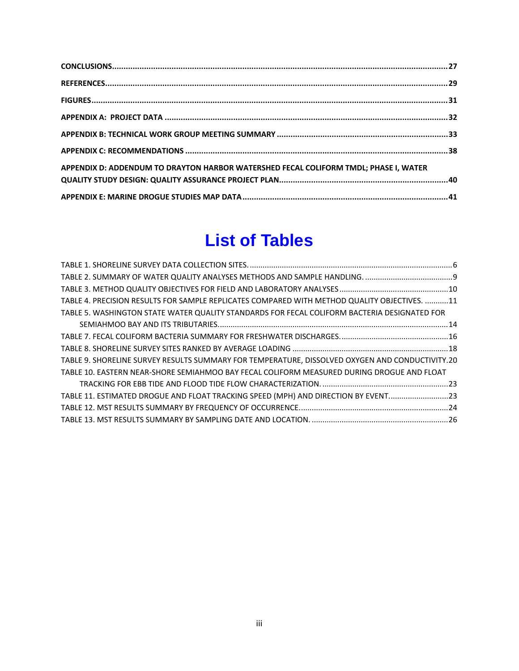| APPENDIX D: ADDENDUM TO DRAYTON HARBOR WATERSHED FECAL COLIFORM TMDL; PHASE I, WATER |  |
|--------------------------------------------------------------------------------------|--|
|                                                                                      |  |
|                                                                                      |  |

## **List of Tables**

<span id="page-2-0"></span>

| TABLE 4. PRECISION RESULTS FOR SAMPLE REPLICATES COMPARED WITH METHOD QUALITY OBJECTIVES. 11    |  |
|-------------------------------------------------------------------------------------------------|--|
| TABLE 5. WASHINGTON STATE WATER QUALITY STANDARDS FOR FECAL COLIFORM BACTERIA DESIGNATED FOR    |  |
|                                                                                                 |  |
|                                                                                                 |  |
|                                                                                                 |  |
| TABLE 9. SHORELINE SURVEY RESULTS SUMMARY FOR TEMPERATURE, DISSOLVED OXYGEN AND CONDUCTIVITY.20 |  |
| TABLE 10. EASTERN NEAR-SHORE SEMIAHMOO BAY FECAL COLIFORM MEASURED DURING DROGUE AND FLOAT      |  |
|                                                                                                 |  |
| TABLE 11. ESTIMATED DROGUE AND FLOAT TRACKING SPEED (MPH) AND DIRECTION BY EVENT23              |  |
|                                                                                                 |  |
|                                                                                                 |  |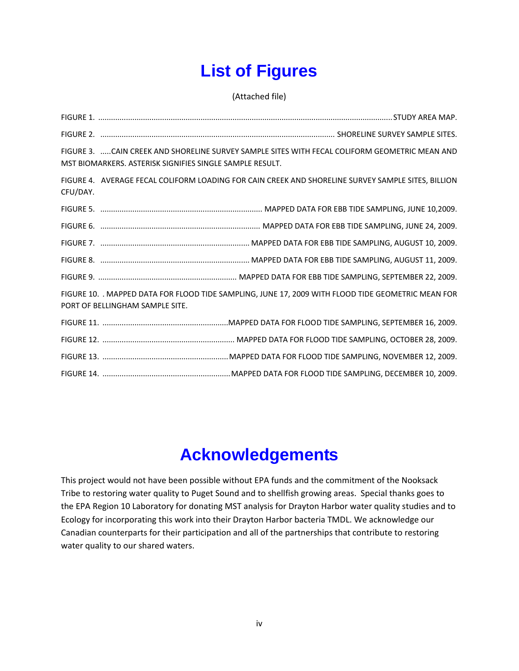# **List of Figures**

(Attached file)

<span id="page-3-0"></span>FIGURE 1. ..........................................................................................................................................STUDY AREA MAP. FIGURE 2. .............................................................................................................. SHORELINE SURVEY SAMPLE SITES. FIGURE 3. .....CAIN CREEK AND SHORELINE SURVEY SAMPLE SITES WITH FECAL COLIFORM GEOMETRIC MEAN AND MST BIOMARKERS. ASTERISK SIGNIFIES SINGLE SAMPLE RESULT. FIGURE 4. AVERAGE FECAL COLIFORM LOADING FOR CAIN CREEK AND SHORELINE SURVEY SAMPLE SITES, BILLION CFU/DAY. FIGURE 5. ............................................................................ MAPPED DATA FOR EBB TIDE SAMPLING, JUNE 10,2009. FIGURE 6. ........................................................................... MAPPED DATA FOR EBB TIDE SAMPLING, JUNE 24, 2009. FIGURE 7. ...................................................................... MAPPED DATA FOR EBB TIDE SAMPLING, AUGUST 10, 2009. FIGURE 8. ...................................................................... MAPPED DATA FOR EBB TIDE SAMPLING, AUGUST 11, 2009. FIGURE 9. ................................................................. MAPPED DATA FOR EBB TIDE SAMPLING, SEPTEMBER 22, 2009. FIGURE 10. . MAPPED DATA FOR FLOOD TIDE SAMPLING, JUNE 17, 2009 WITH FLOOD TIDE GEOMETRIC MEAN FOR PORT OF BELLINGHAM SAMPLE SITE. FIGURE 11. ...........................................................MAPPED DATA FOR FLOOD TIDE SAMPLING, SEPTEMBER 16, 2009. FIGURE 12. .............................................................. MAPPED DATA FOR FLOOD TIDE SAMPLING, OCTOBER 28, 2009. FIGURE 13. ...........................................................MAPPED DATA FOR FLOOD TIDE SAMPLING, NOVEMBER 12, 2009. FIGURE 14. ............................................................MAPPED DATA FOR FLOOD TIDE SAMPLING, DECEMBER 10, 2009.

## **Acknowledgements**

<span id="page-3-1"></span>This project would not have been possible without EPA funds and the commitment of the Nooksack Tribe to restoring water quality to Puget Sound and to shellfish growing areas. Special thanks goes to the EPA Region 10 Laboratory for donating MST analysis for Drayton Harbor water quality studies and to Ecology for incorporating this work into their Drayton Harbor bacteria TMDL. We acknowledge our Canadian counterparts for their participation and all of the partnerships that contribute to restoring water quality to our shared waters.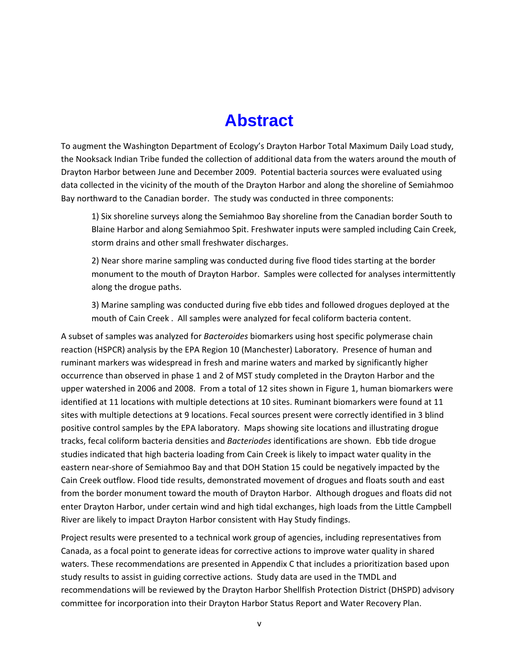## **Abstract**

<span id="page-4-0"></span>To augment the Washington Department of Ecology's Drayton Harbor Total Maximum Daily Load study, the Nooksack Indian Tribe funded the collection of additional data from the waters around the mouth of Drayton Harbor between June and December 2009. Potential bacteria sources were evaluated using data collected in the vicinity of the mouth of the Drayton Harbor and along the shoreline of Semiahmoo Bay northward to the Canadian border. The study was conducted in three components:

1) Six shoreline surveys along the Semiahmoo Bay shoreline from the Canadian border South to Blaine Harbor and along Semiahmoo Spit. Freshwater inputs were sampled including Cain Creek, storm drains and other small freshwater discharges.

2) Near shore marine sampling was conducted during five flood tides starting at the border monument to the mouth of Drayton Harbor. Samples were collected for analyses intermittently along the drogue paths.

3) Marine sampling was conducted during five ebb tides and followed drogues deployed at the mouth of Cain Creek . All samples were analyzed for fecal coliform bacteria content.

A subset of samples was analyzed for *Bacteroides* biomarkers using host specific polymerase chain reaction (HSPCR) analysis by the EPA Region 10 (Manchester) Laboratory. Presence of human and ruminant markers was widespread in fresh and marine waters and marked by significantly higher occurrence than observed in phase 1 and 2 of MST study completed in the Drayton Harbor and the upper watershed in 2006 and 2008. From a total of 12 sites shown in Figure 1, human biomarkers were identified at 11 locations with multiple detections at 10 sites. Ruminant biomarkers were found at 11 sites with multiple detections at 9 locations. Fecal sources present were correctly identified in 3 blind positive control samples by the EPA laboratory. Maps showing site locations and illustrating drogue tracks, fecal coliform bacteria densities and *Bacteriodes* identifications are shown. Ebb tide drogue studies indicated that high bacteria loading from Cain Creek is likely to impact water quality in the eastern near-shore of Semiahmoo Bay and that DOH Station 15 could be negatively impacted by the Cain Creek outflow. Flood tide results, demonstrated movement of drogues and floats south and east from the border monument toward the mouth of Drayton Harbor. Although drogues and floats did not enter Drayton Harbor, under certain wind and high tidal exchanges, high loads from the Little Campbell River are likely to impact Drayton Harbor consistent with Hay Study findings.

Project results were presented to a technical work group of agencies, including representatives from Canada, as a focal point to generate ideas for corrective actions to improve water quality in shared waters. These recommendations are presented in Appendix C that includes a prioritization based upon study results to assist in guiding corrective actions. Study data are used in the TMDL and recommendations will be reviewed by the Drayton Harbor Shellfish Protection District (DHSPD) advisory committee for incorporation into their Drayton Harbor Status Report and Water Recovery Plan.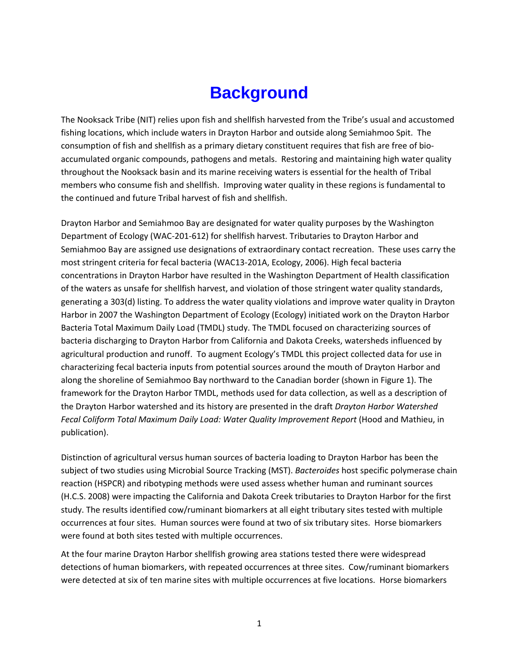## **Background**

<span id="page-5-0"></span>The Nooksack Tribe (NIT) relies upon fish and shellfish harvested from the Tribe's usual and accustomed fishing locations, which include waters in Drayton Harbor and outside along Semiahmoo Spit. The consumption of fish and shellfish as a primary dietary constituent requires that fish are free of bioaccumulated organic compounds, pathogens and metals. Restoring and maintaining high water quality throughout the Nooksack basin and its marine receiving waters is essential for the health of Tribal members who consume fish and shellfish. Improving water quality in these regions is fundamental to the continued and future Tribal harvest of fish and shellfish.

Drayton Harbor and Semiahmoo Bay are designated for water quality purposes by the Washington Department of Ecology (WAC-201-612) for shellfish harvest. Tributaries to Drayton Harbor and Semiahmoo Bay are assigned use designations of extraordinary contact recreation. These uses carry the most stringent criteria for fecal bacteria (WAC13-201A, Ecology, 2006). High fecal bacteria concentrations in Drayton Harbor have resulted in the Washington Department of Health classification of the waters as unsafe for shellfish harvest, and violation of those stringent water quality standards, generating a 303(d) listing. To address the water quality violations and improve water quality in Drayton Harbor in 2007 the Washington Department of Ecology (Ecology) initiated work on the Drayton Harbor Bacteria Total Maximum Daily Load (TMDL) study. The TMDL focused on characterizing sources of bacteria discharging to Drayton Harbor from California and Dakota Creeks, watersheds influenced by agricultural production and runoff. To augment Ecology's TMDL this project collected data for use in characterizing fecal bacteria inputs from potential sources around the mouth of Drayton Harbor and along the shoreline of Semiahmoo Bay northward to the Canadian border (shown in Figure 1). The framework for the Drayton Harbor TMDL, methods used for data collection, as well as a description of the Drayton Harbor watershed and its history are presented in the draft *Drayton Harbor Watershed Fecal Coliform Total Maximum Daily Load: Water Quality Improvement Report* (Hood and Mathieu, in publication).

Distinction of agricultural versus human sources of bacteria loading to Drayton Harbor has been the subject of two studies using Microbial Source Tracking (MST). *Bacteroides* host specific polymerase chain reaction (HSPCR) and ribotyping methods were used assess whether human and ruminant sources (H.C.S. 2008) were impacting the California and Dakota Creek tributaries to Drayton Harbor for the first study. The results identified cow/ruminant biomarkers at all eight tributary sites tested with multiple occurrences at four sites. Human sources were found at two of six tributary sites. Horse biomarkers were found at both sites tested with multiple occurrences.

At the four marine Drayton Harbor shellfish growing area stations tested there were widespread detections of human biomarkers, with repeated occurrences at three sites. Cow/ruminant biomarkers were detected at six of ten marine sites with multiple occurrences at five locations. Horse biomarkers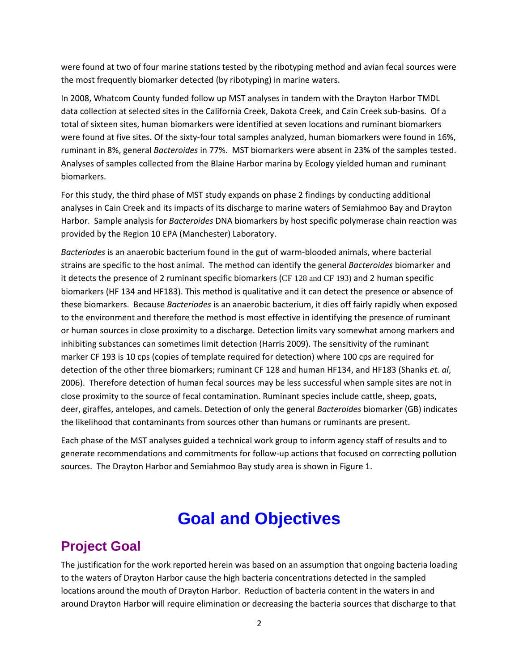were found at two of four marine stations tested by the ribotyping method and avian fecal sources were the most frequently biomarker detected (by ribotyping) in marine waters.

In 2008, Whatcom County funded follow up MST analyses in tandem with the Drayton Harbor TMDL data collection at selected sites in the California Creek, Dakota Creek, and Cain Creek sub-basins. Of a total of sixteen sites, human biomarkers were identified at seven locations and ruminant biomarkers were found at five sites. Of the sixty-four total samples analyzed, human biomarkers were found in 16%, ruminant in 8%, general *Bacteroides* in 77%. MST biomarkers were absent in 23% of the samples tested. Analyses of samples collected from the Blaine Harbor marina by Ecology yielded human and ruminant biomarkers.

For this study, the third phase of MST study expands on phase 2 findings by conducting additional analyses in Cain Creek and its impacts of its discharge to marine waters of Semiahmoo Bay and Drayton Harbor. Sample analysis for *Bacteroides* DNA biomarkers by host specific polymerase chain reaction was provided by the Region 10 EPA (Manchester) Laboratory.

*Bacteriodes* is an anaerobic bacterium found in the gut of warm-blooded animals, where bacterial strains are specific to the host animal. The method can identify the general *Bacteroides* biomarker and it detects the presence of 2 ruminant specific biomarkers (CF 128 and CF 193) and 2 human specific biomarkers (HF 134 and HF183). This method is qualitative and it can detect the presence or absence of these biomarkers. Because *Bacteriodes* is an anaerobic bacterium, it dies off fairly rapidly when exposed to the environment and therefore the method is most effective in identifying the presence of ruminant or human sources in close proximity to a discharge. Detection limits vary somewhat among markers and inhibiting substances can sometimes limit detection (Harris 2009). The sensitivity of the ruminant marker CF 193 is 10 cps (copies of template required for detection) where 100 cps are required for detection of the other three biomarkers; ruminant CF 128 and human HF134, and HF183 (Shanks *et. al*, 2006). Therefore detection of human fecal sources may be less successful when sample sites are not in close proximity to the source of fecal contamination. Ruminant species include cattle, sheep, goats, deer, giraffes, antelopes, and camels. Detection of only the general *Bacteroides* biomarker (GB) indicates the likelihood that contaminants from sources other than humans or ruminants are present.

Each phase of the MST analyses guided a technical work group to inform agency staff of results and to generate recommendations and commitments for follow-up actions that focused on correcting pollution sources. The Drayton Harbor and Semiahmoo Bay study area is shown in Figure 1.

## **Goal and Objectives**

### <span id="page-6-1"></span><span id="page-6-0"></span>**Project Goal**

The justification for the work reported herein was based on an assumption that ongoing bacteria loading to the waters of Drayton Harbor cause the high bacteria concentrations detected in the sampled locations around the mouth of Drayton Harbor. Reduction of bacteria content in the waters in and around Drayton Harbor will require elimination or decreasing the bacteria sources that discharge to that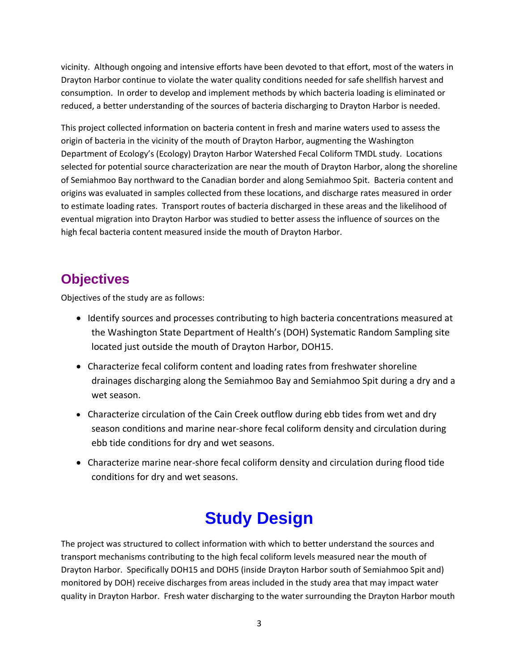vicinity. Although ongoing and intensive efforts have been devoted to that effort, most of the waters in Drayton Harbor continue to violate the water quality conditions needed for safe shellfish harvest and consumption. In order to develop and implement methods by which bacteria loading is eliminated or reduced, a better understanding of the sources of bacteria discharging to Drayton Harbor is needed.

This project collected information on bacteria content in fresh and marine waters used to assess the origin of bacteria in the vicinity of the mouth of Drayton Harbor, augmenting the Washington Department of Ecology's (Ecology) Drayton Harbor Watershed Fecal Coliform TMDL study. Locations selected for potential source characterization are near the mouth of Drayton Harbor, along the shoreline of Semiahmoo Bay northward to the Canadian border and along Semiahmoo Spit. Bacteria content and origins was evaluated in samples collected from these locations, and discharge rates measured in order to estimate loading rates. Transport routes of bacteria discharged in these areas and the likelihood of eventual migration into Drayton Harbor was studied to better assess the influence of sources on the high fecal bacteria content measured inside the mouth of Drayton Harbor.

## <span id="page-7-0"></span>**Objectives**

Objectives of the study are as follows:

- Identify sources and processes contributing to high bacteria concentrations measured at the Washington State Department of Health's (DOH) Systematic Random Sampling site located just outside the mouth of Drayton Harbor, DOH15.
- Characterize fecal coliform content and loading rates from freshwater shoreline drainages discharging along the Semiahmoo Bay and Semiahmoo Spit during a dry and a wet season.
- Characterize circulation of the Cain Creek outflow during ebb tides from wet and dry season conditions and marine near-shore fecal coliform density and circulation during ebb tide conditions for dry and wet seasons.
- Characterize marine near-shore fecal coliform density and circulation during flood tide conditions for dry and wet seasons.

## **Study Design**

<span id="page-7-1"></span>The project was structured to collect information with which to better understand the sources and transport mechanisms contributing to the high fecal coliform levels measured near the mouth of Drayton Harbor. Specifically DOH15 and DOH5 (inside Drayton Harbor south of Semiahmoo Spit and) monitored by DOH) receive discharges from areas included in the study area that may impact water quality in Drayton Harbor. Fresh water discharging to the water surrounding the Drayton Harbor mouth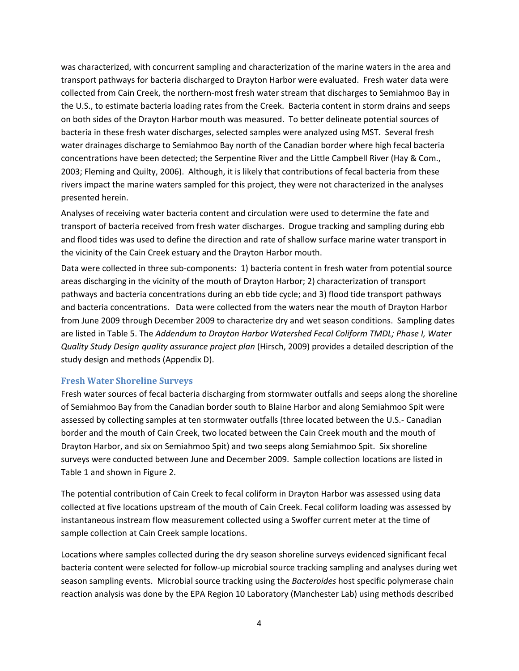was characterized, with concurrent sampling and characterization of the marine waters in the area and transport pathways for bacteria discharged to Drayton Harbor were evaluated. Fresh water data were collected from Cain Creek, the northern-most fresh water stream that discharges to Semiahmoo Bay in the U.S., to estimate bacteria loading rates from the Creek. Bacteria content in storm drains and seeps on both sides of the Drayton Harbor mouth was measured. To better delineate potential sources of bacteria in these fresh water discharges, selected samples were analyzed using MST. Several fresh water drainages discharge to Semiahmoo Bay north of the Canadian border where high fecal bacteria concentrations have been detected; the Serpentine River and the Little Campbell River (Hay & Com., 2003; Fleming and Quilty, 2006). Although, it is likely that contributions of fecal bacteria from these rivers impact the marine waters sampled for this project, they were not characterized in the analyses presented herein.

Analyses of receiving water bacteria content and circulation were used to determine the fate and transport of bacteria received from fresh water discharges. Drogue tracking and sampling during ebb and flood tides was used to define the direction and rate of shallow surface marine water transport in the vicinity of the Cain Creek estuary and the Drayton Harbor mouth.

Data were collected in three sub-components: 1) bacteria content in fresh water from potential source areas discharging in the vicinity of the mouth of Drayton Harbor; 2) characterization of transport pathways and bacteria concentrations during an ebb tide cycle; and 3) flood tide transport pathways and bacteria concentrations. Data were collected from the waters near the mouth of Drayton Harbor from June 2009 through December 2009 to characterize dry and wet season conditions. Sampling dates are listed in Table 5. The *Addendum to Drayton Harbor Watershed Fecal Coliform TMDL; Phase I, Water Quality Study Design quality assurance project plan* (Hirsch, 2009) provides a detailed description of the study design and methods (Appendix D).

#### <span id="page-8-0"></span>**Fresh Water Shoreline Surveys**

Fresh water sources of fecal bacteria discharging from stormwater outfalls and seeps along the shoreline of Semiahmoo Bay from the Canadian border south to Blaine Harbor and along Semiahmoo Spit were assessed by collecting samples at ten stormwater outfalls (three located between the U.S.- Canadian border and the mouth of Cain Creek, two located between the Cain Creek mouth and the mouth of Drayton Harbor, and six on Semiahmoo Spit) and two seeps along Semiahmoo Spit. Six shoreline surveys were conducted between June and December 2009. Sample collection locations are listed in Table 1 and shown in Figure 2.

The potential contribution of Cain Creek to fecal coliform in Drayton Harbor was assessed using data collected at five locations upstream of the mouth of Cain Creek. Fecal coliform loading was assessed by instantaneous instream flow measurement collected using a Swoffer current meter at the time of sample collection at Cain Creek sample locations.

Locations where samples collected during the dry season shoreline surveys evidenced significant fecal bacteria content were selected for follow-up microbial source tracking sampling and analyses during wet season sampling events. Microbial source tracking using the *Bacteroides* host specific polymerase chain reaction analysis was done by the EPA Region 10 Laboratory (Manchester Lab) using methods described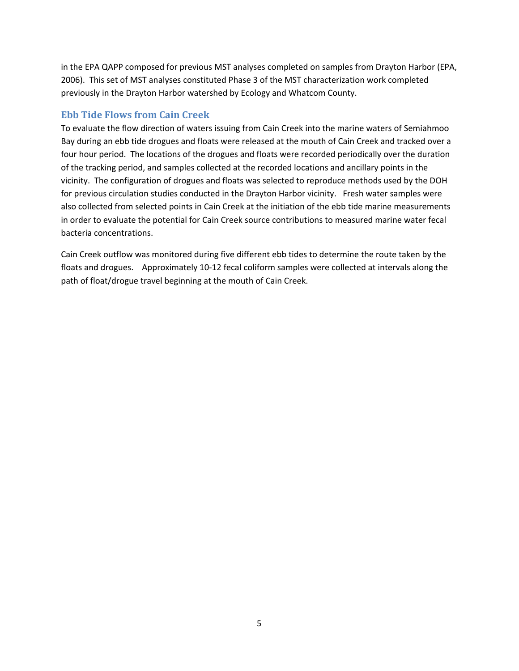in the EPA QAPP composed for previous MST analyses completed on samples from Drayton Harbor (EPA, 2006). This set of MST analyses constituted Phase 3 of the MST characterization work completed previously in the Drayton Harbor watershed by Ecology and Whatcom County.

### <span id="page-9-0"></span>**Ebb Tide Flows from Cain Creek**

To evaluate the flow direction of waters issuing from Cain Creek into the marine waters of Semiahmoo Bay during an ebb tide drogues and floats were released at the mouth of Cain Creek and tracked over a four hour period. The locations of the drogues and floats were recorded periodically over the duration of the tracking period, and samples collected at the recorded locations and ancillary points in the vicinity. The configuration of drogues and floats was selected to reproduce methods used by the DOH for previous circulation studies conducted in the Drayton Harbor vicinity. Fresh water samples were also collected from selected points in Cain Creek at the initiation of the ebb tide marine measurements in order to evaluate the potential for Cain Creek source contributions to measured marine water fecal bacteria concentrations.

Cain Creek outflow was monitored during five different ebb tides to determine the route taken by the floats and drogues. Approximately 10-12 fecal coliform samples were collected at intervals along the path of float/drogue travel beginning at the mouth of Cain Creek.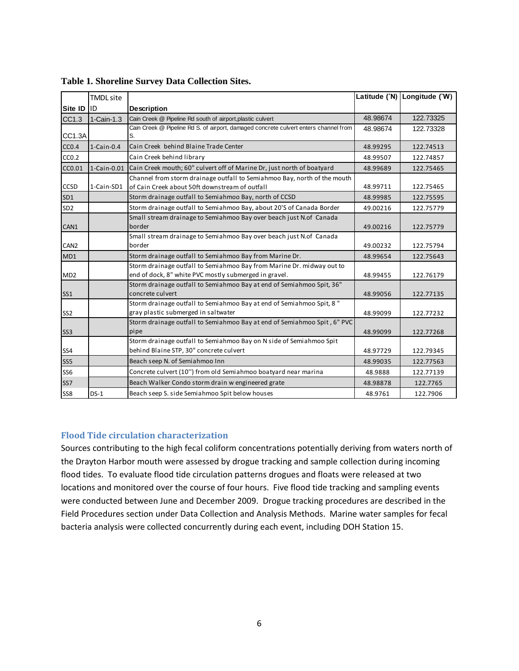|                   | <b>TMDL</b> site |                                                                                                                                |          | Latitude (°N) Longitude (°W) |
|-------------------|------------------|--------------------------------------------------------------------------------------------------------------------------------|----------|------------------------------|
| Site ID ID        |                  | <b>Description</b>                                                                                                             |          |                              |
| CC1.3             | 1-Cain-1.3       | Cain Creek @ Pipeline Rd south of airport, plastic culvert                                                                     | 48.98674 | 122.73325                    |
| CC1.3A            |                  | Cain Creek @ Pipeline Rd S. of airport, damaged concrete culvert enters channel from<br>S.                                     | 48.98674 | 122.73328                    |
| CC <sub>0.4</sub> | $1$ -Cain-0.4    | Cain Creek behind Blaine Trade Center                                                                                          | 48.99295 | 122.74513                    |
| CC <sub>0.2</sub> |                  | Cain Creek behind library                                                                                                      | 48.99507 | 122.74857                    |
| CC0.01            | 1-Cain-0.01      | Cain Creek mouth; 60" culvert off of Marine Dr, just north of boatyard                                                         | 48.99689 | 122.75465                    |
| CCSD              | 1-Cain-SD1       | Channel from storm drainage outfall to Semiahmoo Bay, north of the mouth<br>of Cain Creek about 50ft downstream of outfall     | 48.99711 | 122.75465                    |
| SD1               |                  | Storm drainage outfall to Semiahmoo Bay, north of CCSD                                                                         | 48.99985 | 122.75595                    |
| SD <sub>2</sub>   |                  | Storm drainage outfall to Semiahmoo Bay, about 20'S of Canada Border                                                           | 49.00216 | 122.75779                    |
| CAN1              |                  | Small stream drainage to Semiahmoo Bay over beach just N.of Canada<br>border                                                   | 49.00216 | 122.75779                    |
| CAN <sub>2</sub>  |                  | Small stream drainage to Semiahmoo Bay over beach just N.of Canada<br>border                                                   | 49.00232 | 122.75794                    |
| MD1               |                  | Storm drainage outfall to Semiahmoo Bay from Marine Dr.                                                                        | 48.99654 | 122.75643                    |
| MD <sub>2</sub>   |                  | Storm drainage outfall to Semiahmoo Bay from Marine Dr. midway out to<br>end of dock, 8" white PVC mostly submerged in gravel. | 48.99455 | 122.76179                    |
| SS <sub>1</sub>   |                  | Storm drainage outfall to Semiahmoo Bay at end of Semiahmoo Spit, 36"<br>concrete culvert                                      | 48.99056 | 122.77135                    |
| SS <sub>2</sub>   |                  | Storm drainage outfall to Semiahmoo Bay at end of Semiahmoo Spit, 8"<br>gray plastic submerged in saltwater                    | 48.99099 | 122.77232                    |
| SS <sub>3</sub>   |                  | Storm drainage outfall to Semiahmoo Bay at end of Semiahmoo Spit, 6" PVC<br>pipe                                               | 48.99099 | 122.77268                    |
| SS4               |                  | Storm drainage outfall to Semiahmoo Bay on N side of Semiahmoo Spit<br>behind Blaine STP, 30" concrete culvert                 | 48.97729 | 122.79345                    |
| SS <sub>5</sub>   |                  | Beach seep N. of Semiahmoo Inn                                                                                                 | 48.99035 | 122.77563                    |
| SS <sub>6</sub>   |                  | Concrete culvert (10") from old Semiahmoo boatyard near marina                                                                 | 48.9888  | 122.77139                    |
| SS7               |                  | Beach Walker Condo storm drain w engineered grate                                                                              | 48.98878 | 122.7765                     |
| SS8               | $DS-1$           | Beach seep S. side Semiahmoo Spit below houses                                                                                 | 48.9761  | 122.7906                     |

### <span id="page-10-1"></span>**Table 1. Shoreline Survey Data Collection Sites.**

### <span id="page-10-0"></span>**Flood Tide circulation characterization**

Sources contributing to the high fecal coliform concentrations potentially deriving from waters north of the Drayton Harbor mouth were assessed by drogue tracking and sample collection during incoming flood tides. To evaluate flood tide circulation patterns drogues and floats were released at two locations and monitored over the course of four hours. Five flood tide tracking and sampling events were conducted between June and December 2009. Drogue tracking procedures are described in the Field Procedures section under Data Collection and Analysis Methods. Marine water samples for fecal bacteria analysis were collected concurrently during each event, including DOH Station 15.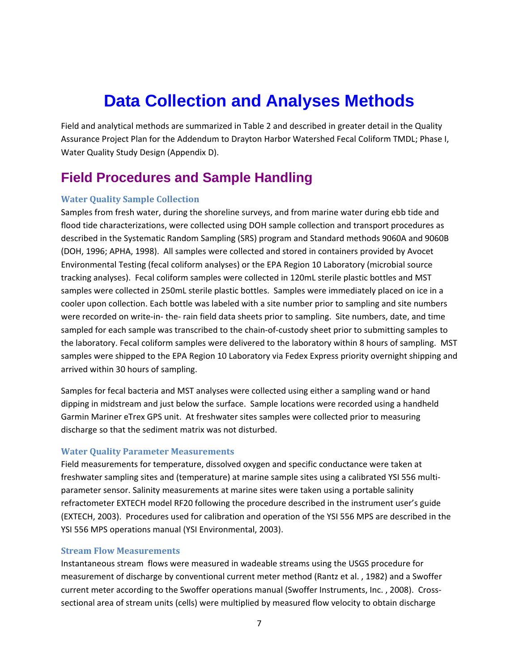## **Data Collection and Analyses Methods**

<span id="page-11-0"></span>Field and analytical methods are summarized in Table 2 and described in greater detail in the Quality Assurance Project Plan for the Addendum to Drayton Harbor Watershed Fecal Coliform TMDL; Phase I, Water Quality Study Design (Appendix D).

### <span id="page-11-1"></span>**Field Procedures and Sample Handling**

### <span id="page-11-2"></span>**Water Quality Sample Collection**

Samples from fresh water, during the shoreline surveys, and from marine water during ebb tide and flood tide characterizations, were collected using DOH sample collection and transport procedures as described in the Systematic Random Sampling (SRS) program and Standard methods 9060A and 9060B (DOH, 1996; APHA, 1998). All samples were collected and stored in containers provided by Avocet Environmental Testing (fecal coliform analyses) or the EPA Region 10 Laboratory (microbial source tracking analyses). Fecal coliform samples were collected in 120mL sterile plastic bottles and MST samples were collected in 250mL sterile plastic bottles. Samples were immediately placed on ice in a cooler upon collection. Each bottle was labeled with a site number prior to sampling and site numbers were recorded on write-in- the- rain field data sheets prior to sampling. Site numbers, date, and time sampled for each sample was transcribed to the chain-of-custody sheet prior to submitting samples to the laboratory. Fecal coliform samples were delivered to the laboratory within 8 hours of sampling. MST samples were shipped to the EPA Region 10 Laboratory via Fedex Express priority overnight shipping and arrived within 30 hours of sampling.

Samples for fecal bacteria and MST analyses were collected using either a sampling wand or hand dipping in midstream and just below the surface. Sample locations were recorded using a handheld Garmin Mariner eTrex GPS unit. At freshwater sites samples were collected prior to measuring discharge so that the sediment matrix was not disturbed.

#### <span id="page-11-3"></span>**Water Quality Parameter Measurements**

Field measurements for temperature, dissolved oxygen and specific conductance were taken at freshwater sampling sites and (temperature) at marine sample sites using a calibrated YSI 556 multiparameter sensor. Salinity measurements at marine sites were taken using a portable salinity refractometer EXTECH model RF20 following the procedure described in the instrument user's guide (EXTECH, 2003). Procedures used for calibration and operation of the YSI 556 MPS are described in the YSI 556 MPS operations manual (YSI Environmental, 2003).

### <span id="page-11-4"></span>**Stream Flow Measurements**

Instantaneous stream flows were measured in wadeable streams using the USGS procedure for measurement of discharge by conventional current meter method (Rantz et al. , 1982) and a Swoffer current meter according to the Swoffer operations manual (Swoffer Instruments, Inc. , 2008). Crosssectional area of stream units (cells) were multiplied by measured flow velocity to obtain discharge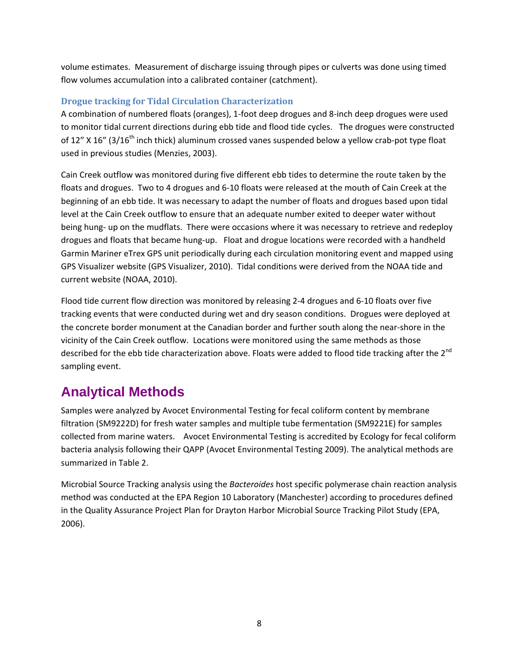volume estimates. Measurement of discharge issuing through pipes or culverts was done using timed flow volumes accumulation into a calibrated container (catchment).

### <span id="page-12-0"></span>**Drogue tracking for Tidal Circulation Characterization**

A combination of numbered floats (oranges), 1-foot deep drogues and 8-inch deep drogues were used to monitor tidal current directions during ebb tide and flood tide cycles. The drogues were constructed of 12" X 16" (3/16<sup>th</sup> inch thick) aluminum crossed vanes suspended below a yellow crab-pot type float used in previous studies (Menzies, 2003).

Cain Creek outflow was monitored during five different ebb tides to determine the route taken by the floats and drogues. Two to 4 drogues and 6-10 floats were released at the mouth of Cain Creek at the beginning of an ebb tide. It was necessary to adapt the number of floats and drogues based upon tidal level at the Cain Creek outflow to ensure that an adequate number exited to deeper water without being hung- up on the mudflats. There were occasions where it was necessary to retrieve and redeploy drogues and floats that became hung-up. Float and drogue locations were recorded with a handheld Garmin Mariner eTrex GPS unit periodically during each circulation monitoring event and mapped using GPS Visualizer website (GPS Visualizer, 2010). Tidal conditions were derived from the NOAA tide and current website (NOAA, 2010).

Flood tide current flow direction was monitored by releasing 2-4 drogues and 6-10 floats over five tracking events that were conducted during wet and dry season conditions. Drogues were deployed at the concrete border monument at the Canadian border and further south along the near-shore in the vicinity of the Cain Creek outflow. Locations were monitored using the same methods as those described for the ebb tide characterization above. Floats were added to flood tide tracking after the 2<sup>nd</sup> sampling event.

## <span id="page-12-1"></span>**Analytical Methods**

Samples were analyzed by Avocet Environmental Testing for fecal coliform content by membrane filtration (SM9222D) for fresh water samples and multiple tube fermentation (SM9221E) for samples collected from marine waters. Avocet Environmental Testing is accredited by Ecology for fecal coliform bacteria analysis following their QAPP (Avocet Environmental Testing 2009). The analytical methods are summarized in Table 2.

Microbial Source Tracking analysis using the *Bacteroides* host specific polymerase chain reaction analysis method was conducted at the EPA Region 10 Laboratory (Manchester) according to procedures defined in the Quality Assurance Project Plan for Drayton Harbor Microbial Source Tracking Pilot Study (EPA, 2006).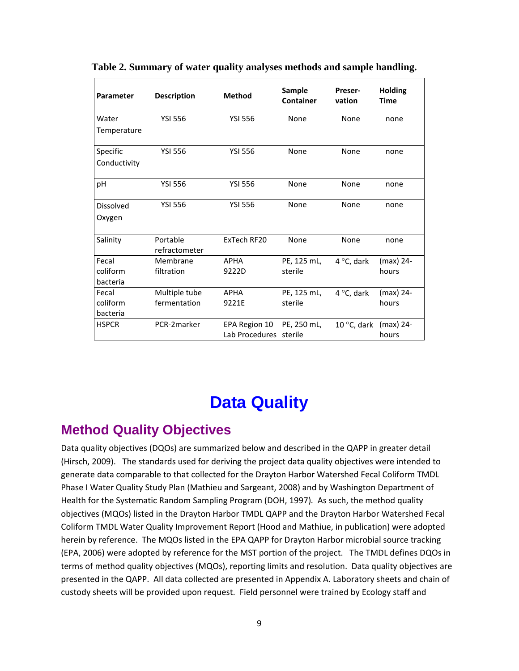| Parameter            | <b>Description</b>        | <b>Method</b>                           | Sample<br><b>Container</b> | Preser-<br>vation    | <b>Holding</b><br><b>Time</b> |
|----------------------|---------------------------|-----------------------------------------|----------------------------|----------------------|-------------------------------|
| Water                | <b>YSI 556</b>            | <b>YSI 556</b>                          | None                       | None                 | none                          |
| Temperature          |                           |                                         |                            |                      |                               |
| Specific             | <b>YSI 556</b>            | <b>YSI 556</b>                          | None                       | None                 | none                          |
| Conductivity         |                           |                                         |                            |                      |                               |
| рH                   | <b>YSI 556</b>            | <b>YSI 556</b>                          | None                       | None                 | none                          |
| <b>Dissolved</b>     | <b>YSI 556</b>            | <b>YSI 556</b>                          | None                       | None                 | none                          |
| Oxygen               |                           |                                         |                            |                      |                               |
| Salinity             | Portable<br>refractometer | ExTech RF20                             | None                       | None                 | none                          |
| Fecal                | Membrane                  | <b>APHA</b>                             | PE, 125 mL,                | 4 $\degree$ C, dark  | (max) 24-                     |
| coliform<br>bacteria | filtration                | 9222D                                   | sterile                    |                      | hours                         |
| Fecal                | Multiple tube             | <b>APHA</b>                             | PE, 125 mL,                | 4 °C, dark           | (max) 24-                     |
| coliform<br>bacteria | fermentation              | 9221E                                   | sterile                    |                      | hours                         |
| <b>HSPCR</b>         | PCR-2marker               | EPA Region 10<br>Lab Procedures sterile | PE, 250 mL,                | 10 $\degree$ C, dark | (max) 24-<br>hours            |

<span id="page-13-2"></span>**Table 2. Summary of water quality analyses methods and sample handling.**

## **Data Quality**

### <span id="page-13-1"></span><span id="page-13-0"></span>**Method Quality Objectives**

Data quality objectives (DQOs) are summarized below and described in the QAPP in greater detail (Hirsch, 2009). The standards used for deriving the project data quality objectives were intended to generate data comparable to that collected for the Drayton Harbor Watershed Fecal Coliform TMDL Phase I Water Quality Study Plan (Mathieu and Sargeant, 2008) and by Washington Department of Health for the Systematic Random Sampling Program (DOH, 1997)*.* As such, the method quality objectives (MQOs) listed in the Drayton Harbor TMDL QAPP and the Drayton Harbor Watershed Fecal Coliform TMDL Water Quality Improvement Report (Hood and Mathiue, in publication) were adopted herein by reference. The MQOs listed in the EPA QAPP for Drayton Harbor microbial source tracking (EPA, 2006) were adopted by reference for the MST portion of the project. The TMDL defines DQOs in terms of method quality objectives (MQOs), reporting limits and resolution. Data quality objectives are presented in the QAPP. All data collected are presented in Appendix A. Laboratory sheets and chain of custody sheets will be provided upon request. Field personnel were trained by Ecology staff and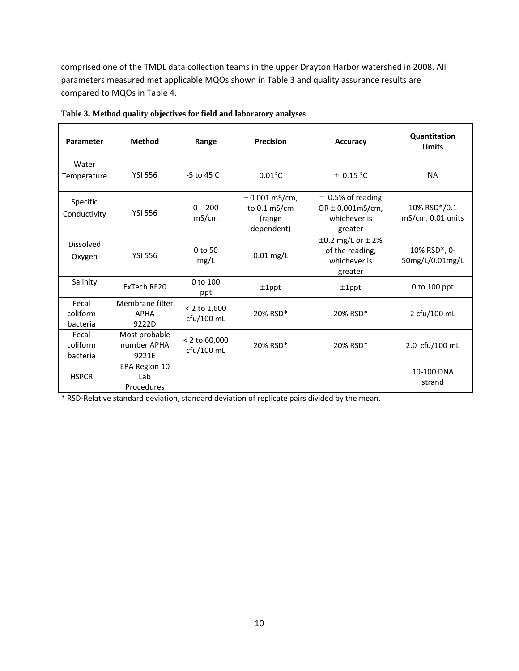comprised one of the TMDL data collection teams in the upper Drayton Harbor watershed in 2008. All parameters measured met applicable MQOs shown in Table 3 and quality assurance results are compared to MQOs in Table 4.

| Parameter                     | <b>Method</b>                           | Range                          | Precision                                                            | <b>Accuracy</b>                                                           | Quantitation<br>Limits                   |
|-------------------------------|-----------------------------------------|--------------------------------|----------------------------------------------------------------------|---------------------------------------------------------------------------|------------------------------------------|
| Water<br>Temperature          | <b>YSI 556</b>                          | $-5$ to 45 C                   | $0.01^{\circ}$ C                                                     | $\pm$ 0.15 °C                                                             | <b>NA</b>                                |
| Specific<br>Conductivity      | <b>YSI 556</b>                          | $0 - 200$<br>mS/cm             | $\pm$ 0.001 mS/cm,<br>to $0.1 \text{ mS/cm}$<br>(range<br>dependent) | $\pm$ 0.5% of reading<br>OR $\pm$ 0.001mS/cm,<br>whichever is<br>greater  | $10\%$ RSD $*$ /0.1<br>mS/cm, 0.01 units |
| <b>Dissolved</b><br>Oxygen    | <b>YSI 556</b>                          | $0$ to 50<br>mg/L              | $0.01$ mg/L                                                          | $\pm 0.2$ mg/L or $\pm 2\%$<br>of the reading,<br>whichever is<br>greater | 10% RSD*, 0-<br>50mg/L/0.01mg/L          |
| Salinity                      | ExTech RF20                             | 0 to 100<br>ppt                | $±1$ ppt                                                             | $±1$ ppt                                                                  | 0 to 100 ppt                             |
| Fecal<br>coliform<br>bacteria | Membrane filter<br><b>APHA</b><br>9222D | $< 2$ to 1,600<br>$ctu/100$ mL | 20% RSD*                                                             | 20% RSD*                                                                  | 2 cfu/100 mL                             |
| Fecal<br>coliform<br>bacteria | Most probable<br>number APHA<br>9221E   | < 2 to 60,000<br>cfu/100 mL    | 20% RSD*                                                             | 20% RSD*                                                                  | 2.0 cfu/100 mL                           |
| <b>HSPCR</b>                  | EPA Region 10<br>Lab<br>Procedures      |                                |                                                                      |                                                                           | 10-100 DNA<br>strand                     |

<span id="page-14-0"></span>

| Table 3. Method quality objectives for field and laboratory analyses |  |  |  |  |  |
|----------------------------------------------------------------------|--|--|--|--|--|
|----------------------------------------------------------------------|--|--|--|--|--|

\* RSD-Relative standard deviation, standard deviation of replicate pairs divided by the mean.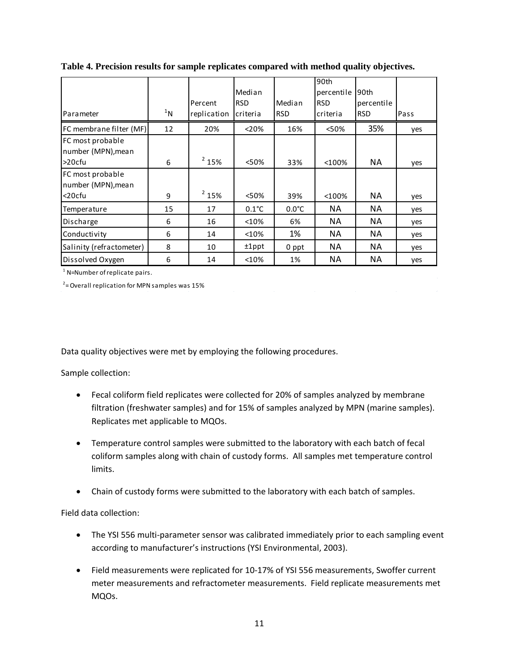|                                                         |        |             | Median          |                 | 90th<br>percentile | l90th      |      |
|---------------------------------------------------------|--------|-------------|-----------------|-----------------|--------------------|------------|------|
|                                                         |        | Percent     | <b>RSD</b>      | Median          | <b>RSD</b>         | percentile |      |
| Parameter                                               | $11$ N | replication | criteria        | <b>RSD</b>      | criteria           | <b>RSD</b> | Pass |
| FC membrane filter (MF)                                 | 12     | 20%         | < 20%           | 16%             | < 50%              | 35%        | yes  |
| FC most probable<br>number (MPN), mean<br>$>20$ cfu     | 6      | $2$ 15%     | < 50%           | 33%             | < 100%             | <b>NA</b>  | yes  |
| <b>FC most probable</b><br>number (MPN), mean<br><20cfu | 9      | $2$ 15%     | < 50%           | 39%             | $<$ 100%           | <b>NA</b>  | yes  |
| Temperature                                             | 15     | 17          | $0.1^{\circ}$ C | $0.0^{\circ}$ C | ΝA                 | <b>NA</b>  | yes  |
| Discharge                                               | 6      | 16          | <10%            | 6%              | ΝA                 | <b>NA</b>  | yes  |
| Conductivity                                            | 6      | 14          | <10%            | 1%              | ΝA                 | <b>NA</b>  | yes  |
| Salinity (refractometer)                                | 8      | 10          | $±1$ ppt        | 0 ppt           | ΝA                 | <b>NA</b>  | yes  |
| Dissolved Oxygen                                        | 6      | 14          | <10%            | 1%              | NА                 | <b>NA</b>  | yes  |

<span id="page-15-0"></span>**Table 4. Precision results for sample replicates compared with method quality objectives.**

 $<sup>1</sup>$  N=Number of replicate pairs.</sup>

 $2$ = Overall replication for MPN samples was 15%

Data quality objectives were met by employing the following procedures.

Sample collection:

- Fecal coliform field replicates were collected for 20% of samples analyzed by membrane filtration (freshwater samples) and for 15% of samples analyzed by MPN (marine samples). Replicates met applicable to MQOs.
- Temperature control samples were submitted to the laboratory with each batch of fecal coliform samples along with chain of custody forms. All samples met temperature control limits.
- Chain of custody forms were submitted to the laboratory with each batch of samples.

Field data collection:

- The YSI 556 multi-parameter sensor was calibrated immediately prior to each sampling event according to manufacturer's instructions (YSI Environmental, 2003).
- Field measurements were replicated for 10-17% of YSI 556 measurements, Swoffer current meter measurements and refractometer measurements. Field replicate measurements met MQOs.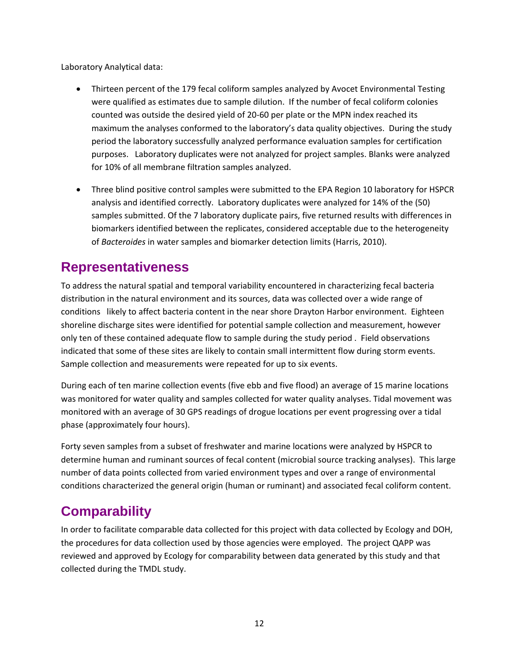Laboratory Analytical data:

- Thirteen percent of the 179 fecal coliform samples analyzed by Avocet Environmental Testing were qualified as estimates due to sample dilution. If the number of fecal coliform colonies counted was outside the desired yield of 20-60 per plate or the MPN index reached its maximum the analyses conformed to the laboratory's data quality objectives. During the study period the laboratory successfully analyzed performance evaluation samples for certification purposes. Laboratory duplicates were not analyzed for project samples. Blanks were analyzed for 10% of all membrane filtration samples analyzed.
- Three blind positive control samples were submitted to the EPA Region 10 laboratory for HSPCR analysis and identified correctly. Laboratory duplicates were analyzed for 14% of the (50) samples submitted. Of the 7 laboratory duplicate pairs, five returned results with differences in biomarkers identified between the replicates, considered acceptable due to the heterogeneity of *Bacteroides* in water samples and biomarker detection limits (Harris, 2010).

### <span id="page-16-0"></span>**Representativeness**

To address the natural spatial and temporal variability encountered in characterizing fecal bacteria distribution in the natural environment and its sources, data was collected over a wide range of conditions likely to affect bacteria content in the near shore Drayton Harbor environment. Eighteen shoreline discharge sites were identified for potential sample collection and measurement, however only ten of these contained adequate flow to sample during the study period . Field observations indicated that some of these sites are likely to contain small intermittent flow during storm events. Sample collection and measurements were repeated for up to six events.

During each of ten marine collection events (five ebb and five flood) an average of 15 marine locations was monitored for water quality and samples collected for water quality analyses. Tidal movement was monitored with an average of 30 GPS readings of drogue locations per event progressing over a tidal phase (approximately four hours).

Forty seven samples from a subset of freshwater and marine locations were analyzed by HSPCR to determine human and ruminant sources of fecal content (microbial source tracking analyses). This large number of data points collected from varied environment types and over a range of environmental conditions characterized the general origin (human or ruminant) and associated fecal coliform content.

## <span id="page-16-1"></span>**Comparability**

In order to facilitate comparable data collected for this project with data collected by Ecology and DOH, the procedures for data collection used by those agencies were employed. The project QAPP was reviewed and approved by Ecology for comparability between data generated by this study and that collected during the TMDL study.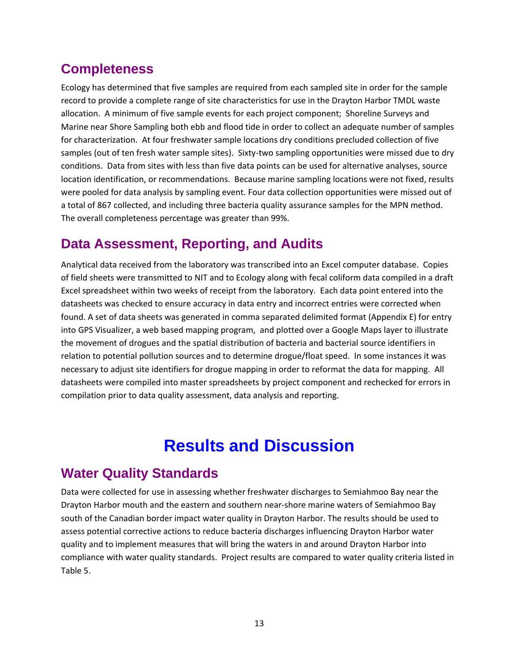### <span id="page-17-0"></span>**Completeness**

Ecology has determined that five samples are required from each sampled site in order for the sample record to provide a complete range of site characteristics for use in the Drayton Harbor TMDL waste allocation. A minimum of five sample events for each project component; Shoreline Surveys and Marine near Shore Sampling both ebb and flood tide in order to collect an adequate number of samples for characterization. At four freshwater sample locations dry conditions precluded collection of five samples (out of ten fresh water sample sites). Sixty-two sampling opportunities were missed due to dry conditions. Data from sites with less than five data points can be used for alternative analyses, source location identification, or recommendations. Because marine sampling locations were not fixed, results were pooled for data analysis by sampling event. Four data collection opportunities were missed out of a total of 867 collected, and including three bacteria quality assurance samples for the MPN method. The overall completeness percentage was greater than 99%.

### <span id="page-17-1"></span>**Data Assessment, Reporting, and Audits**

Analytical data received from the laboratory was transcribed into an Excel computer database. Copies of field sheets were transmitted to NIT and to Ecology along with fecal coliform data compiled in a draft Excel spreadsheet within two weeks of receipt from the laboratory. Each data point entered into the datasheets was checked to ensure accuracy in data entry and incorrect entries were corrected when found. A set of data sheets was generated in comma separated delimited format (Appendix E) for entry into GPS Visualizer, a web based mapping program, and plotted over a Google Maps layer to illustrate the movement of drogues and the spatial distribution of bacteria and bacterial source identifiers in relation to potential pollution sources and to determine drogue/float speed. In some instances it was necessary to adjust site identifiers for drogue mapping in order to reformat the data for mapping. All datasheets were compiled into master spreadsheets by project component and rechecked for errors in compilation prior to data quality assessment, data analysis and reporting.

## **Results and Discussion**

### <span id="page-17-3"></span><span id="page-17-2"></span>**Water Quality Standards**

Data were collected for use in assessing whether freshwater discharges to Semiahmoo Bay near the Drayton Harbor mouth and the eastern and southern near-shore marine waters of Semiahmoo Bay south of the Canadian border impact water quality in Drayton Harbor. The results should be used to assess potential corrective actions to reduce bacteria discharges influencing Drayton Harbor water quality and to implement measures that will bring the waters in and around Drayton Harbor into compliance with water quality standards. Project results are compared to water quality criteria listed in Table 5.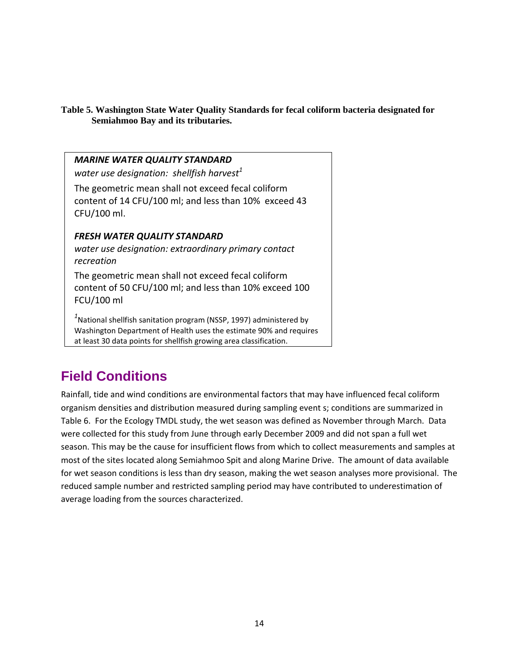### <span id="page-18-1"></span>**Table 5. Washington State Water Quality Standards for fecal coliform bacteria designated for Semiahmoo Bay and its tributaries.**

| <b>MARINE WATER QUALITY STANDARD</b><br>water use designation: shellfish harvest <sup>1</sup>                                                                                                                               |
|-----------------------------------------------------------------------------------------------------------------------------------------------------------------------------------------------------------------------------|
| The geometric mean shall not exceed fecal coliform<br>content of 14 CFU/100 ml; and less than 10% exceed 43<br>CFU/100 ml.                                                                                                  |
| <b>FRESH WATER QUALITY STANDARD</b><br>water use designation: extraordinary primary contact<br>recreation                                                                                                                   |
| The geometric mean shall not exceed fecal coliform<br>content of 50 CFU/100 ml; and less than 10% exceed 100<br>FCU/100 ml                                                                                                  |
| <sup>1</sup> National shellfish sanitation program (NSSP, 1997) administered by<br>Washington Department of Health uses the estimate 90% and requires<br>at least 30 data points for shellfish growing area classification. |

## <span id="page-18-0"></span>**Field Conditions**

Rainfall, tide and wind conditions are environmental factors that may have influenced fecal coliform organism densities and distribution measured during sampling event s; conditions are summarized in Table 6. For the Ecology TMDL study, the wet season was defined as November through March. Data were collected for this study from June through early December 2009 and did not span a full wet season. This may be the cause for insufficient flows from which to collect measurements and samples at most of the sites located along Semiahmoo Spit and along Marine Drive. The amount of data available for wet season conditions is less than dry season, making the wet season analyses more provisional. The reduced sample number and restricted sampling period may have contributed to underestimation of average loading from the sources characterized.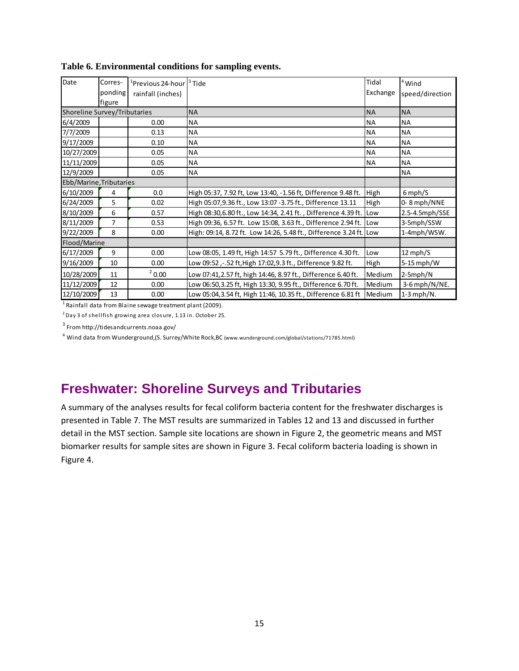| Date                                | Corres-<br>ponding<br>figure | <sup>1</sup> Previous 24-hour   <sup>3</sup> Tide<br>rainfall (inches) |                                                                    | Tidal<br>Exchange | $4$ Wind<br>speed/direction |
|-------------------------------------|------------------------------|------------------------------------------------------------------------|--------------------------------------------------------------------|-------------------|-----------------------------|
| <b>Shoreline Survey/Tributaries</b> |                              |                                                                        | <b>NA</b>                                                          | <b>NA</b>         | <b>NA</b>                   |
| 6/4/2009                            |                              | 0.00                                                                   | NA                                                                 | ΝA                | <b>NA</b>                   |
| 7/7/2009                            |                              | 0.13                                                                   | <b>NA</b>                                                          | <b>NA</b>         | <b>NA</b>                   |
| 9/17/2009                           |                              | 0.10                                                                   | NA                                                                 | ΝA                | <b>NA</b>                   |
| 10/27/2009                          |                              | 0.05                                                                   | <b>NA</b>                                                          | NA                | <b>NA</b>                   |
| 11/11/2009                          |                              | 0.05                                                                   | NA                                                                 | ΝA                | <b>NA</b>                   |
| 12/9/2009                           |                              | 0.05                                                                   | <b>NA</b>                                                          |                   | <b>NA</b>                   |
| Ebb/Marine, Tributaries             |                              |                                                                        |                                                                    |                   |                             |
| 6/10/2009                           | 4                            | 0.0                                                                    | High 05:37, 7.92 ft, Low 13:40, -1.56 ft, Difference 9.48 ft.      | High              | $6$ mph/S                   |
| 6/24/2009                           | 5                            | 0.02                                                                   | High 05:07,9.36 ft., Low 13:07 - 3.75 ft., Difference 13.11        | High              | 0-8 mph/NNE                 |
| 8/10/2009                           | 6                            | 0.57                                                                   | High 08:30,6.80 ft., Low 14:34, 2.41 ft., Difference 4.39 ft.      | Low               | 2.5-4.5mph/SSE              |
| 8/11/2009                           | 7                            | 0.53                                                                   | High 09:36, 6.57 ft. Low 15:08, 3.63 ft., Difference 2.94 ft.      | Low               | 3-5mph/SSW                  |
| 9/22/2009                           | 8                            | 0.00                                                                   | High: 09:14, 8.72 ft. Low 14:26, 5.48 ft., Difference 3.24 ft. Low |                   | 1-4mph/WSW.                 |
| Flood/Marine                        |                              |                                                                        |                                                                    |                   |                             |
| 6/17/2009                           | 9                            | 0.00                                                                   | Low 08:05, 1.49 ft, High 14:57 5.79 ft., Difference 4.30 ft.       | Low               | $12$ mph/S                  |
| 9/16/2009                           | 10                           | 0.00                                                                   | Low 09:52,-.52 ft, High 17:02, 9.3 ft., Difference 9.82 ft.        | High              | $5-15$ mph/W                |
| 10/28/2009                          | 11                           | $^{2}$ 0.00                                                            | Low 07:41,2.57 ft, high 14:46, 8.97 ft., Difference 6.40 ft.       | Medium            | $2-5mph/N$                  |
| 11/12/2009                          | 12                           | 0.00                                                                   | Low 06:50, 3.25 ft, High 13:30, 9.95 ft., Difference 6.70 ft.      | Medium            | $3-6$ mph/N/NE.             |
| 12/10/2009                          | 13                           | 0.00                                                                   | Low 05:04,3.54 ft, High 11:46, 10.35 ft., Difference 6.81 ft       | Medium            | $1-3$ mph/N.                |

#### **Table 6. Environmental conditions for sampling events.**

 $1$  Rainfall data from Blaine sewage treatment plant (2009).

 $2$  Day 3 of shellfish growing area closure, 1.13 in. October 25.

<sup>3</sup> From http://tidesandcurrents.noaa.gov/

4 Wind data from Wunderground,(S. Surrey/White Rock,BC (www.wunderground.com/global/stations/71785.html)

### <span id="page-19-0"></span>**Freshwater: Shoreline Surveys and Tributaries**

A summary of the analyses results for fecal coliform bacteria content for the freshwater discharges is presented in Table 7. The MST results are summarized in Tables 12 and 13 and discussed in further detail in the MST section. Sample site locations are shown in Figure 2, the geometric means and MST biomarker results for sample sites are shown in Figure 3. Fecal coliform bacteria loading is shown in Figure 4.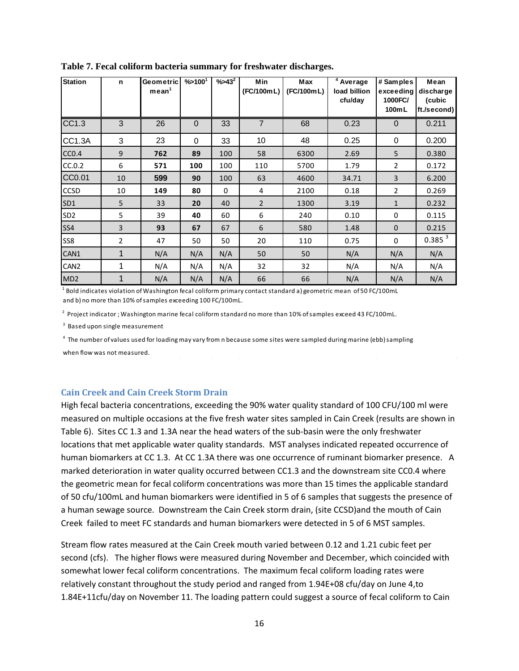| <b>Station</b>    | n              | Geometric<br>mean <sup>1</sup> | $\% > 100^{1}$ | $%543^{2}$  | <b>Min</b><br>(FC/100mL) | Max<br>(FC/100mL) | <sup>4</sup> Average<br>load billion<br>cfu/day | # Samples<br>exceeding<br>1000FC/<br>100mL | Mean<br>discharge<br>(cubic<br>ft./second) |
|-------------------|----------------|--------------------------------|----------------|-------------|--------------------------|-------------------|-------------------------------------------------|--------------------------------------------|--------------------------------------------|
| CC1.3             | 3              | 26                             | $\mathbf 0$    | 33          | $\overline{7}$           | 68                | 0.23                                            | $\Omega$                                   | 0.211                                      |
| CC1.3A            | 3              | 23                             | 0              | 33          | 10                       | 48                | 0.25                                            | $\Omega$                                   | 0.200                                      |
| CC <sub>0.4</sub> | 9              | 762                            | 89             | 100         | 58                       | 6300              | 2.69                                            | 5                                          | 0.380                                      |
| CC.0.2            | 6              | 571                            | 100            | 100         | 110                      | 5700              | 1.79                                            | $\overline{2}$                             | 0.172                                      |
| CC0.01            | 10             | 599                            | 90             | 100         | 63                       | 4600              | 34.71                                           | 3                                          | 6.200                                      |
| CCSD              | 10             | 149                            | 80             | $\mathbf 0$ | 4                        | 2100              | 0.18                                            | $\overline{2}$                             | 0.269                                      |
| SD <sub>1</sub>   | 5              | 33                             | 20             | 40          | $\overline{2}$           | 1300              | 3.19                                            | $\mathbf{1}$                               | 0.232                                      |
| SD <sub>2</sub>   | 5              | 39                             | 40             | 60          | 6                        | 240               | 0.10                                            | $\mathbf 0$                                | 0.115                                      |
| SS4               | 3              | 93                             | 67             | 67          | 6                        | 580               | 1.48                                            | $\mathbf{0}$                               | 0.215                                      |
| SS8               | $\overline{2}$ | 47                             | 50             | 50          | 20                       | 110               | 0.75                                            | $\Omega$                                   | 0.385 <sup>3</sup>                         |
| CAN1              | $\mathbf{1}$   | N/A                            | N/A            | N/A         | 50                       | 50                | N/A                                             | N/A                                        | N/A                                        |
| CAN <sub>2</sub>  | 1              | N/A                            | N/A            | N/A         | 32                       | 32                | N/A                                             | N/A                                        | N/A                                        |
| MD <sub>2</sub>   | $\mathbf{1}$   | N/A                            | N/A            | N/A         | 66                       | 66                | N/A                                             | N/A                                        | N/A                                        |

<span id="page-20-1"></span>**Table 7. Fecal coliform bacteria summary for freshwater discharges.**

 $^{\rm 1}$  Bold indicates violation of Washington fecal coliform primary contact standard a) geometric mean of 50 FC/100mL and b) no more than 10% of samples exceeding 100 FC/100mL.

<sup>2</sup> Project indicator ; Washington marine fecal coliform standard no more than 10% of samples exceed 43 FC/100mL.

<sup>3</sup> Based upon single measurement

<sup>4</sup> The number of values used for loading may vary from n because some sites were sampled during marine (ebb) sampling

when flow was not measured.

#### <span id="page-20-0"></span>**Cain Creek and Cain Creek Storm Drain**

High fecal bacteria concentrations, exceeding the 90% water quality standard of 100 CFU/100 ml were measured on multiple occasions at the five fresh water sites sampled in Cain Creek (results are shown in Table 6). Sites CC 1.3 and 1.3A near the head waters of the sub-basin were the only freshwater locations that met applicable water quality standards. MST analyses indicated repeated occurrence of human biomarkers at CC 1.3. At CC 1.3A there was one occurrence of ruminant biomarker presence. A marked deterioration in water quality occurred between CC1.3 and the downstream site CC0.4 where the geometric mean for fecal coliform concentrations was more than 15 times the applicable standard of 50 cfu/100mL and human biomarkers were identified in 5 of 6 samples that suggests the presence of a human sewage source. Downstream the Cain Creek storm drain, (site CCSD)and the mouth of Cain Creek failed to meet FC standards and human biomarkers were detected in 5 of 6 MST samples.

Stream flow rates measured at the Cain Creek mouth varied between 0.12 and 1.21 cubic feet per second (cfs). The higher flows were measured during November and December, which coincided with somewhat lower fecal coliform concentrations. The maximum fecal coliform loading rates were relatively constant throughout the study period and ranged from 1.94E+08 cfu/day on June 4,to 1.84E+11cfu/day on November 11. The loading pattern could suggest a source of fecal coliform to Cain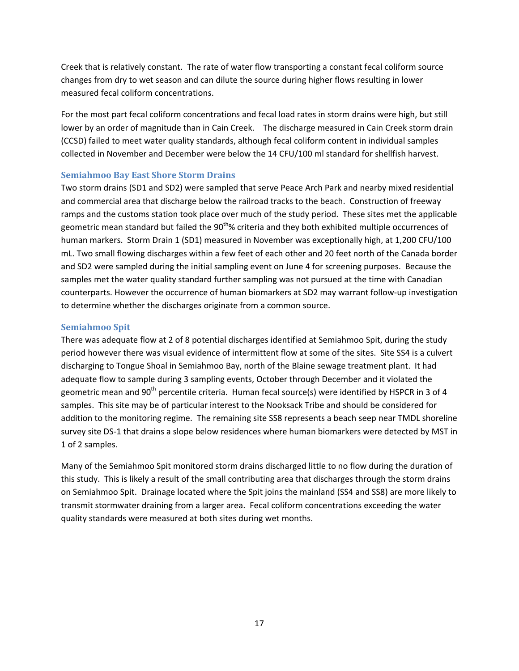Creek that is relatively constant. The rate of water flow transporting a constant fecal coliform source changes from dry to wet season and can dilute the source during higher flows resulting in lower measured fecal coliform concentrations.

For the most part fecal coliform concentrations and fecal load rates in storm drains were high, but still lower by an order of magnitude than in Cain Creek. The discharge measured in Cain Creek storm drain (CCSD) failed to meet water quality standards, although fecal coliform content in individual samples collected in November and December were below the 14 CFU/100 ml standard for shellfish harvest.

### <span id="page-21-0"></span>**Semiahmoo Bay East Shore Storm Drains**

Two storm drains (SD1 and SD2) were sampled that serve Peace Arch Park and nearby mixed residential and commercial area that discharge below the railroad tracks to the beach. Construction of freeway ramps and the customs station took place over much of the study period. These sites met the applicable geometric mean standard but failed the 90<sup>th</sup>% criteria and they both exhibited multiple occurrences of human markers. Storm Drain 1 (SD1) measured in November was exceptionally high, at 1,200 CFU/100 mL. Two small flowing discharges within a few feet of each other and 20 feet north of the Canada border and SD2 were sampled during the initial sampling event on June 4 for screening purposes. Because the samples met the water quality standard further sampling was not pursued at the time with Canadian counterparts. However the occurrence of human biomarkers at SD2 may warrant follow-up investigation to determine whether the discharges originate from a common source.

### <span id="page-21-1"></span>**Semiahmoo Spit**

There was adequate flow at 2 of 8 potential discharges identified at Semiahmoo Spit, during the study period however there was visual evidence of intermittent flow at some of the sites. Site SS4 is a culvert discharging to Tongue Shoal in Semiahmoo Bay, north of the Blaine sewage treatment plant. It had adequate flow to sample during 3 sampling events, October through December and it violated the geometric mean and 90<sup>th</sup> percentile criteria. Human fecal source(s) were identified by HSPCR in 3 of 4 samples. This site may be of particular interest to the Nooksack Tribe and should be considered for addition to the monitoring regime. The remaining site SS8 represents a beach seep near TMDL shoreline survey site DS-1 that drains a slope below residences where human biomarkers were detected by MST in 1 of 2 samples.

Many of the Semiahmoo Spit monitored storm drains discharged little to no flow during the duration of this study. This is likely a result of the small contributing area that discharges through the storm drains on Semiahmoo Spit. Drainage located where the Spit joins the mainland (SS4 and SS8) are more likely to transmit stormwater draining from a larger area. Fecal coliform concentrations exceeding the water quality standards were measured at both sites during wet months.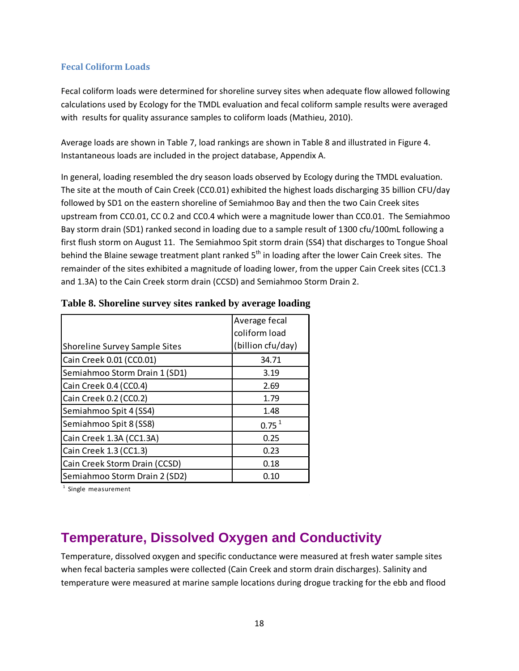### <span id="page-22-0"></span>**Fecal Coliform Loads**

Fecal coliform loads were determined for shoreline survey sites when adequate flow allowed following calculations used by Ecology for the TMDL evaluation and fecal coliform sample results were averaged with results for quality assurance samples to coliform loads (Mathieu, 2010).

Average loads are shown in Table 7, load rankings are shown in Table 8 and illustrated in Figure 4. Instantaneous loads are included in the project database, Appendix A.

In general, loading resembled the dry season loads observed by Ecology during the TMDL evaluation. The site at the mouth of Cain Creek (CC0.01) exhibited the highest loads discharging 35 billion CFU/day followed by SD1 on the eastern shoreline of Semiahmoo Bay and then the two Cain Creek sites upstream from CC0.01, CC 0.2 and CC0.4 which were a magnitude lower than CC0.01. The Semiahmoo Bay storm drain (SD1) ranked second in loading due to a sample result of 1300 cfu/100mL following a first flush storm on August 11. The Semiahmoo Spit storm drain (SS4) that discharges to Tongue Shoal behind the Blaine sewage treatment plant ranked  $5<sup>th</sup>$  in loading after the lower Cain Creek sites. The remainder of the sites exhibited a magnitude of loading lower, from the upper Cain Creek sites (CC1.3 and 1.3A) to the Cain Creek storm drain (CCSD) and Semiahmoo Storm Drain 2.

|                                      | Average fecal     |
|--------------------------------------|-------------------|
|                                      | coliform load     |
| <b>Shoreline Survey Sample Sites</b> | (billion cfu/day) |
| Cain Creek 0.01 (CC0.01)             | 34.71             |
| Semiahmoo Storm Drain 1 (SD1)        | 3.19              |
| Cain Creek 0.4 (CC0.4)               | 2.69              |
| Cain Creek 0.2 (CC0.2)               | 1.79              |
| Semiahmoo Spit 4 (SS4)               | 1.48              |
| Semiahmoo Spit 8 (SS8)               | $0.75^{1}$        |
| Cain Creek 1.3A (CC1.3A)             | 0.25              |
| Cain Creek 1.3 (CC1.3)               | 0.23              |
| Cain Creek Storm Drain (CCSD)        | 0.18              |
| Semiahmoo Storm Drain 2 (SD2)        | 0.10              |

<span id="page-22-2"></span>

|  | Table 8. Shoreline survey sites ranked by average loading |  |  |  |
|--|-----------------------------------------------------------|--|--|--|
|  |                                                           |  |  |  |

<sup>1</sup> Single measurement

### <span id="page-22-1"></span>**Temperature, Dissolved Oxygen and Conductivity**

Temperature, dissolved oxygen and specific conductance were measured at fresh water sample sites when fecal bacteria samples were collected (Cain Creek and storm drain discharges). Salinity and temperature were measured at marine sample locations during drogue tracking for the ebb and flood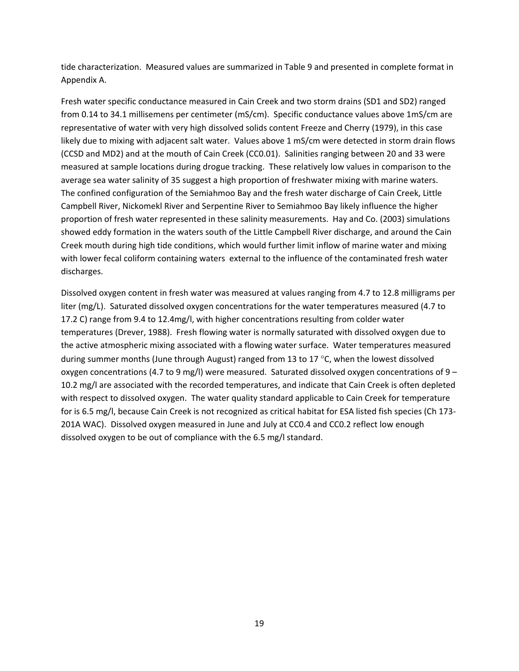tide characterization. Measured values are summarized in Table 9 and presented in complete format in Appendix A.

Fresh water specific conductance measured in Cain Creek and two storm drains (SD1 and SD2) ranged from 0.14 to 34.1 millisemens per centimeter (mS/cm). Specific conductance values above 1mS/cm are representative of water with very high dissolved solids content Freeze and Cherry (1979), in this case likely due to mixing with adjacent salt water. Values above 1 mS/cm were detected in storm drain flows (CCSD and MD2) and at the mouth of Cain Creek (CC0.01). Salinities ranging between 20 and 33 were measured at sample locations during drogue tracking. These relatively low values in comparison to the average sea water salinity of 35 suggest a high proportion of freshwater mixing with marine waters. The confined configuration of the Semiahmoo Bay and the fresh water discharge of Cain Creek, Little Campbell River, Nickomekl River and Serpentine River to Semiahmoo Bay likely influence the higher proportion of fresh water represented in these salinity measurements. Hay and Co. (2003) simulations showed eddy formation in the waters south of the Little Campbell River discharge, and around the Cain Creek mouth during high tide conditions, which would further limit inflow of marine water and mixing with lower fecal coliform containing waters external to the influence of the contaminated fresh water discharges.

Dissolved oxygen content in fresh water was measured at values ranging from 4.7 to 12.8 milligrams per liter (mg/L). Saturated dissolved oxygen concentrations for the water temperatures measured (4.7 to 17.2 C) range from 9.4 to 12.4mg/l, with higher concentrations resulting from colder water temperatures (Drever, 1988). Fresh flowing water is normally saturated with dissolved oxygen due to the active atmospheric mixing associated with a flowing water surface. Water temperatures measured during summer months (June through August) ranged from 13 to 17 °C, when the lowest dissolved oxygen concentrations (4.7 to 9 mg/l) were measured. Saturated dissolved oxygen concentrations of 9 – 10.2 mg/l are associated with the recorded temperatures, and indicate that Cain Creek is often depleted with respect to dissolved oxygen. The water quality standard applicable to Cain Creek for temperature for is 6.5 mg/l, because Cain Creek is not recognized as critical habitat for ESA listed fish species (Ch 173- 201A WAC). Dissolved oxygen measured in June and July at CC0.4 and CC0.2 reflect low enough dissolved oxygen to be out of compliance with the 6.5 mg/l standard.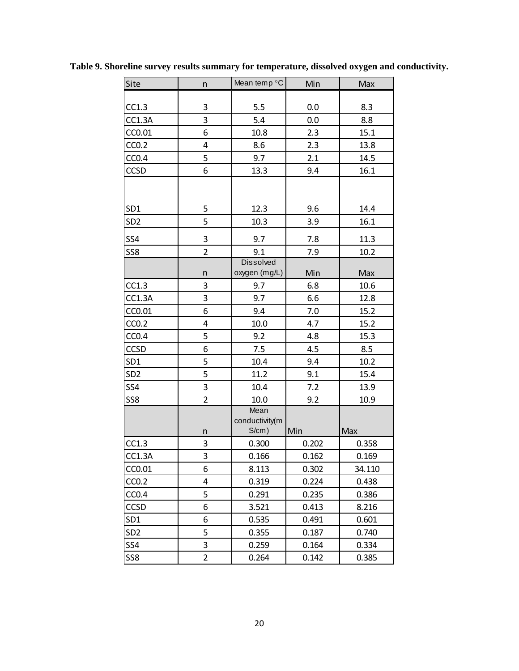| Site              | n                       | Mean temp $°C$         | Min   | Max    |
|-------------------|-------------------------|------------------------|-------|--------|
|                   |                         |                        |       |        |
| CC1.3             | 3                       | 5.5                    | 0.0   | 8.3    |
| CC1.3A            | 3                       | 5.4                    | 0.0   | 8.8    |
| CC0.01            | 6                       | 10.8                   | 2.3   | 15.1   |
| CC <sub>0.2</sub> | $\overline{\mathbf{4}}$ | 8.6                    | 2.3   | 13.8   |
| CC <sub>0.4</sub> | 5                       | 9.7                    | 2.1   | 14.5   |
| CCSD              | 6                       | 13.3                   | 9.4   | 16.1   |
|                   |                         |                        |       |        |
| SD <sub>1</sub>   | 5                       | 12.3                   | 9.6   | 14.4   |
| SD <sub>2</sub>   | 5                       | 10.3                   | 3.9   | 16.1   |
| SS4               | 3                       | 9.7                    | 7.8   | 11.3   |
| SS8               | $\overline{2}$          | 9.1                    | 7.9   | 10.2   |
|                   |                         | <b>Dissolved</b>       |       |        |
|                   | n                       | oxygen (mg/L)          | Min   | Max    |
| CC1.3             | 3                       | 9.7                    | 6.8   | 10.6   |
| <b>CC1.3A</b>     | 3                       | 9.7                    | 6.6   | 12.8   |
| CC0.01            | 6                       | 9.4                    | 7.0   | 15.2   |
| CC <sub>0.2</sub> | $\overline{\mathbf{4}}$ | 10.0                   | 4.7   | 15.2   |
| CC <sub>0.4</sub> | 5                       | 9.2                    | 4.8   | 15.3   |
| <b>CCSD</b>       | 6                       | 7.5                    | 4.5   | 8.5    |
| SD <sub>1</sub>   | 5                       | 10.4                   | 9.4   | 10.2   |
| SD <sub>2</sub>   | 5                       | 11.2                   | 9.1   | 15.4   |
| SS4               | 3                       | 10.4                   | 7.2   | 13.9   |
| SS8               | $\overline{2}$          | 10.0                   | 9.2   | 10.9   |
|                   |                         | Mean<br>conductivity(m | Min   | Max    |
|                   | n<br>3                  | $S/cm$ )               |       |        |
| CC1.3             |                         | 0.300                  | 0.202 | 0.358  |
| CC1.3A            | 3                       | 0.166                  | 0.162 | 0.169  |
| CC0.01            | 6                       | 8.113                  | 0.302 | 34.110 |
| CC <sub>0.2</sub> | 4                       | 0.319                  | 0.224 | 0.438  |
| CC <sub>0.4</sub> | 5                       | 0.291                  | 0.235 | 0.386  |
| <b>CCSD</b>       | 6                       | 3.521                  | 0.413 | 8.216  |
| SD <sub>1</sub>   | 6                       | 0.535                  | 0.491 | 0.601  |
| SD <sub>2</sub>   | 5                       | 0.355                  | 0.187 | 0.740  |
| SS4               | 3                       | 0.259                  | 0.164 | 0.334  |
| SS8               | $\overline{2}$          | 0.264                  | 0.142 | 0.385  |

<span id="page-24-0"></span>**Table 9. Shoreline survey results summary for temperature, dissolved oxygen and conductivity.**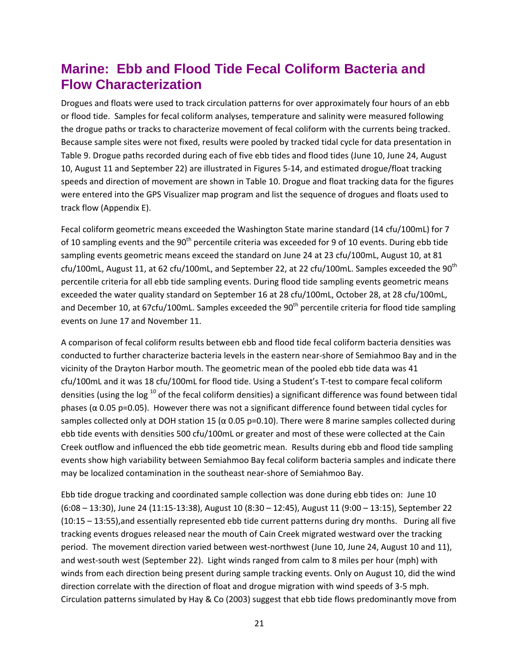### <span id="page-25-0"></span>**Marine: Ebb and Flood Tide Fecal Coliform Bacteria and Flow Characterization**

Drogues and floats were used to track circulation patterns for over approximately four hours of an ebb or flood tide. Samples for fecal coliform analyses, temperature and salinity were measured following the drogue paths or tracks to characterize movement of fecal coliform with the currents being tracked. Because sample sites were not fixed, results were pooled by tracked tidal cycle for data presentation in Table 9. Drogue paths recorded during each of five ebb tides and flood tides (June 10, June 24, August 10, August 11 and September 22) are illustrated in Figures 5-14, and estimated drogue/float tracking speeds and direction of movement are shown in Table 10. Drogue and float tracking data for the figures were entered into the GPS Visualizer map program and list the sequence of drogues and floats used to track flow (Appendix E).

Fecal coliform geometric means exceeded the Washington State marine standard (14 cfu/100mL) for 7 of 10 sampling events and the  $90<sup>th</sup>$  percentile criteria was exceeded for 9 of 10 events. During ebb tide sampling events geometric means exceed the standard on June 24 at 23 cfu/100mL, August 10, at 81 cfu/100mL, August 11, at 62 cfu/100mL, and September 22, at 22 cfu/100mL. Samples exceeded the  $90<sup>th</sup>$ percentile criteria for all ebb tide sampling events. During flood tide sampling events geometric means exceeded the water quality standard on September 16 at 28 cfu/100mL, October 28, at 28 cfu/100mL, and December 10, at 67cfu/100mL. Samples exceeded the 90<sup>th</sup> percentile criteria for flood tide sampling events on June 17 and November 11.

A comparison of fecal coliform results between ebb and flood tide fecal coliform bacteria densities was conducted to further characterize bacteria levels in the eastern near-shore of Semiahmoo Bay and in the vicinity of the Drayton Harbor mouth. The geometric mean of the pooled ebb tide data was 41 cfu/100mL and it was 18 cfu/100mL for flood tide. Using a Student's T-test to compare fecal coliform densities (using the log  $^{10}$  of the fecal coliform densities) a significant difference was found between tidal phases ( $α$  0.05 p=0.05). However there was not a significant difference found between tidal cycles for samples collected only at DOH station 15 ( $\alpha$  0.05 p=0.10). There were 8 marine samples collected during ebb tide events with densities 500 cfu/100mL or greater and most of these were collected at the Cain Creek outflow and influenced the ebb tide geometric mean. Results during ebb and flood tide sampling events show high variability between Semiahmoo Bay fecal coliform bacteria samples and indicate there may be localized contamination in the southeast near-shore of Semiahmoo Bay.

Ebb tide drogue tracking and coordinated sample collection was done during ebb tides on: June 10 (6:08 – 13:30), June 24 (11:15-13:38), August 10 (8:30 – 12:45), August 11 (9:00 – 13:15), September 22 (10:15 – 13:55),and essentially represented ebb tide current patterns during dry months. During all five tracking events drogues released near the mouth of Cain Creek migrated westward over the tracking period. The movement direction varied between west-northwest (June 10, June 24, August 10 and 11), and west-south west (September 22). Light winds ranged from calm to 8 miles per hour (mph) with winds from each direction being present during sample tracking events. Only on August 10, did the wind direction correlate with the direction of float and drogue migration with wind speeds of 3-5 mph. Circulation patterns simulated by Hay & Co (2003) suggest that ebb tide flows predominantly move from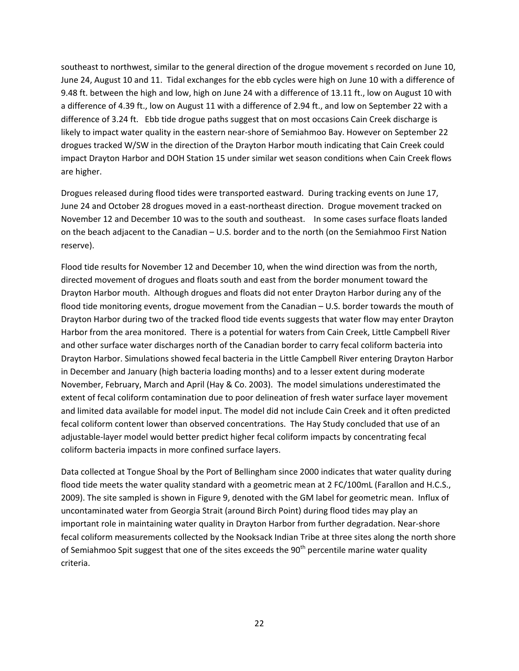southeast to northwest, similar to the general direction of the drogue movement s recorded on June 10, June 24, August 10 and 11. Tidal exchanges for the ebb cycles were high on June 10 with a difference of 9.48 ft. between the high and low, high on June 24 with a difference of 13.11 ft., low on August 10 with a difference of 4.39 ft., low on August 11 with a difference of 2.94 ft., and low on September 22 with a difference of 3.24 ft. Ebb tide drogue paths suggest that on most occasions Cain Creek discharge is likely to impact water quality in the eastern near-shore of Semiahmoo Bay. However on September 22 drogues tracked W/SW in the direction of the Drayton Harbor mouth indicating that Cain Creek could impact Drayton Harbor and DOH Station 15 under similar wet season conditions when Cain Creek flows are higher.

Drogues released during flood tides were transported eastward. During tracking events on June 17, June 24 and October 28 drogues moved in a east-northeast direction. Drogue movement tracked on November 12 and December 10 was to the south and southeast. In some cases surface floats landed on the beach adjacent to the Canadian – U.S. border and to the north (on the Semiahmoo First Nation reserve).

Flood tide results for November 12 and December 10, when the wind direction was from the north, directed movement of drogues and floats south and east from the border monument toward the Drayton Harbor mouth. Although drogues and floats did not enter Drayton Harbor during any of the flood tide monitoring events, drogue movement from the Canadian – U.S. border towards the mouth of Drayton Harbor during two of the tracked flood tide events suggests that water flow may enter Drayton Harbor from the area monitored. There is a potential for waters from Cain Creek, Little Campbell River and other surface water discharges north of the Canadian border to carry fecal coliform bacteria into Drayton Harbor. Simulations showed fecal bacteria in the Little Campbell River entering Drayton Harbor in December and January (high bacteria loading months) and to a lesser extent during moderate November, February, March and April (Hay & Co. 2003). The model simulations underestimated the extent of fecal coliform contamination due to poor delineation of fresh water surface layer movement and limited data available for model input. The model did not include Cain Creek and it often predicted fecal coliform content lower than observed concentrations. The Hay Study concluded that use of an adjustable-layer model would better predict higher fecal coliform impacts by concentrating fecal coliform bacteria impacts in more confined surface layers.

Data collected at Tongue Shoal by the Port of Bellingham since 2000 indicates that water quality during flood tide meets the water quality standard with a geometric mean at 2 FC/100mL (Farallon and H.C.S., 2009). The site sampled is shown in Figure 9, denoted with the GM label for geometric mean. Influx of uncontaminated water from Georgia Strait (around Birch Point) during flood tides may play an important role in maintaining water quality in Drayton Harbor from further degradation. Near-shore fecal coliform measurements collected by the Nooksack Indian Tribe at three sites along the north shore of Semiahmoo Spit suggest that one of the sites exceeds the 90<sup>th</sup> percentile marine water quality criteria.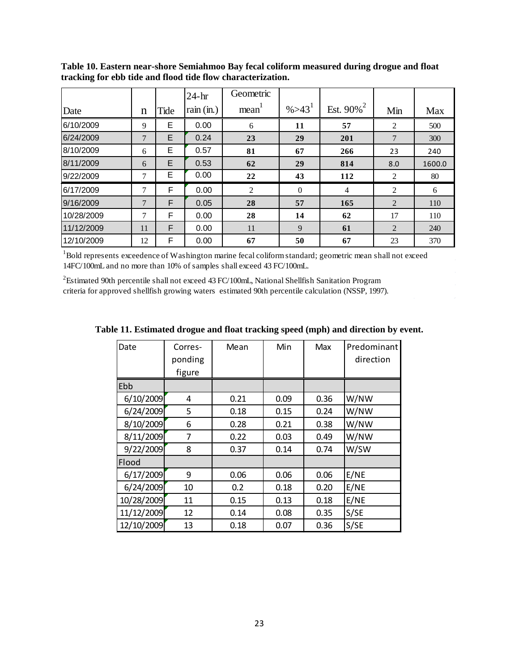|            |    |      | $24-hr$      | Geometric |             |                          |                |        |
|------------|----|------|--------------|-----------|-------------|--------------------------|----------------|--------|
| Date       | n  | Tide | rain $(in.)$ | mean      | $\% > 43^1$ | Est. $90\%$ <sup>2</sup> | Min            | Max    |
| 6/10/2009  | 9  | Ε    | 0.00         | 6         | 11          | 57                       | 2              | 500    |
| 6/24/2009  | 7  | E    | 0.24         | 23        | 29          | 201                      | 7              | 300    |
| 8/10/2009  | 6  | E    | 0.57         | 81        | 67          | 266                      | 23             | 240    |
| 8/11/2009  | 6  | E    | 0.53         | 62        | 29          | 814                      | 8.0            | 1600.0 |
| 9/22/2009  | 7  | Е    | 0.00         | 22        | 43          | 112                      | 2              | 80     |
| 6/17/2009  | 7  | F    | 0.00         | 2         | $\theta$    | $\overline{4}$           | 2              | 6      |
| 9/16/2009  | 7  | F    | 0.05         | 28        | 57          | 165                      | $\overline{2}$ | 110    |
| 10/28/2009 | 7  | F    | 0.00         | 28        | 14          | 62                       | 17             | 110    |
| 11/12/2009 | 11 | F    | 0.00         | 11        | 9           | 61                       | $\overline{2}$ | 240    |
| 12/10/2009 | 12 | F    | 0.00         | 67        | 50          | 67                       | 23             | 370    |

<span id="page-27-0"></span>**Table 10. Eastern near-shore Semiahmoo Bay fecal coliform measured during drogue and float tracking for ebb tide and flood tide flow characterization.**

<sup>1</sup>Bold represents exceedence of Washington marine fecal coliform standard; geometric mean shall not exceed 14FC/100mL and no more than 10% of samples shall exceed 43 FC/100mL.

 ${}^{2}$ Estimated 90th percentile shall not exceed 43 FC/100mL, National Shellfish Sanitation Program criteria for approved shellfish growing waters estimated 90th percentile calculation (NSSP, 1997).

| Date       | Corres-<br>ponding<br>figure | Mean | Min  | Max  | Predominant<br>direction |
|------------|------------------------------|------|------|------|--------------------------|
| Ebb        |                              |      |      |      |                          |
| 6/10/2009  | 4                            | 0.21 | 0.09 | 0.36 | W/NW                     |
| 6/24/2009  | 5                            | 0.18 | 0.15 | 0.24 | W/NW                     |
| 8/10/2009  | 6                            | 0.28 | 0.21 | 0.38 | W/NW                     |
| 8/11/2009  | 7                            | 0.22 | 0.03 | 0.49 | W/NW                     |
| 9/22/2009  | 8                            | 0.37 | 0.14 | 0.74 | W/SW                     |
| Flood      |                              |      |      |      |                          |
| 6/17/2009  | 9                            | 0.06 | 0.06 | 0.06 | E/NE                     |
| 6/24/2009  | 10                           | 0.2  | 0.18 | 0.20 | E/NE                     |
| 10/28/2009 | 11                           | 0.15 | 0.13 | 0.18 | E/NE                     |
| 11/12/2009 | 12                           | 0.14 | 0.08 | 0.35 | S/SE                     |
| 12/10/2009 | 13                           | 0.18 | 0.07 | 0.36 | S/SE                     |

<span id="page-27-1"></span>**Table 11. Estimated drogue and float tracking speed (mph) and direction by event.**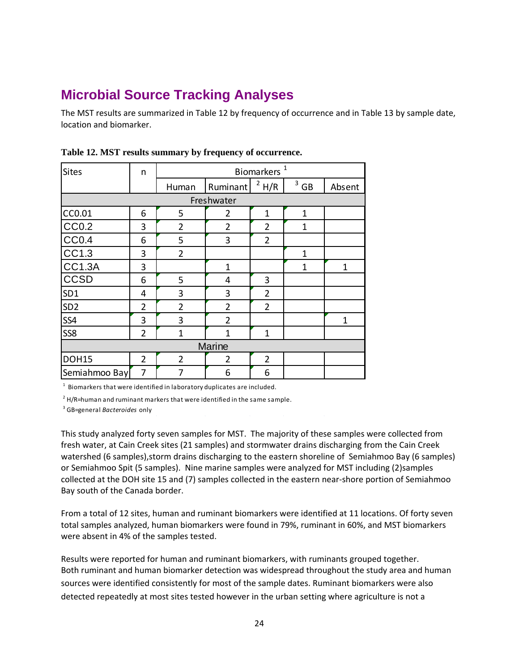## <span id="page-28-0"></span>**Microbial Source Tracking Analyses**

The MST results are summarized in Table 12 by frequency of occurrence and in Table 13 by sample date, location and biomarker.

| <b>Sites</b>      | n              | Biomarkers <sup>1</sup> |                |                |                |              |  |  |
|-------------------|----------------|-------------------------|----------------|----------------|----------------|--------------|--|--|
|                   |                | Human                   | Ruminant       | $^2$ H/R       | $3 \text{ GB}$ | Absent       |  |  |
|                   | Freshwater     |                         |                |                |                |              |  |  |
| CC0.01            | 6              | 5                       | $\overline{2}$ | $\mathbf{1}$   | $\mathbf{1}$   |              |  |  |
| CC <sub>0.2</sub> | 3              | $\overline{2}$          | $\overline{2}$ | $\overline{2}$ | 1              |              |  |  |
| <b>CC0.4</b>      | 6              | 5                       | 3              | $\overline{2}$ |                |              |  |  |
| CC1.3             | 3              | $\overline{2}$          |                |                | $\overline{1}$ |              |  |  |
| <b>CC1.3A</b>     | 3              |                         | $\mathbf{1}$   |                | 1              | $\mathbf{1}$ |  |  |
| <b>CCSD</b>       | 6              | 5                       | 4              | 3              |                |              |  |  |
| SD <sub>1</sub>   | 4              | 3                       | 3              | $\overline{2}$ |                |              |  |  |
| SD <sub>2</sub>   | $\overline{2}$ | $\overline{2}$          | $\overline{2}$ | $\overline{2}$ |                |              |  |  |
| SS4               | 3              | 3                       | $\overline{2}$ |                |                | $\mathbf{1}$ |  |  |
| SS8               | $\overline{2}$ | $\overline{1}$          | $\mathbf{1}$   | $\mathbf{1}$   |                |              |  |  |
| Marine            |                |                         |                |                |                |              |  |  |
| <b>DOH15</b>      | $\overline{2}$ | $\overline{2}$          | $\overline{2}$ | $\overline{2}$ |                |              |  |  |
| Semiahmoo Bay     | 7              | 7                       | 6              | 6              |                |              |  |  |

### <span id="page-28-1"></span>**Table 12. MST results summary by frequency of occurrence.**

 $1$  Biomarkers that were identified in laboratory duplicates are included.

 $^2$  H/R=human and ruminant markers that were identified in the same sample.

3 GB=general *Bacteroides* only

This study analyzed forty seven samples for MST. The majority of these samples were collected from fresh water, at Cain Creek sites (21 samples) and stormwater drains discharging from the Cain Creek watershed (6 samples), storm drains discharging to the eastern shoreline of Semiahmoo Bay (6 samples) or Semiahmoo Spit (5 samples). Nine marine samples were analyzed for MST including (2)samples collected at the DOH site 15 and (7) samples collected in the eastern near-shore portion of Semiahmoo Bay south of the Canada border.

From a total of 12 sites, human and ruminant biomarkers were identified at 11 locations. Of forty seven total samples analyzed, human biomarkers were found in 79%, ruminant in 60%, and MST biomarkers were absent in 4% of the samples tested.

Results were reported for human and ruminant biomarkers, with ruminants grouped together. Both ruminant and human biomarker detection was widespread throughout the study area and human sources were identified consistently for most of the sample dates. Ruminant biomarkers were also detected repeatedly at most sites tested however in the urban setting where agriculture is not a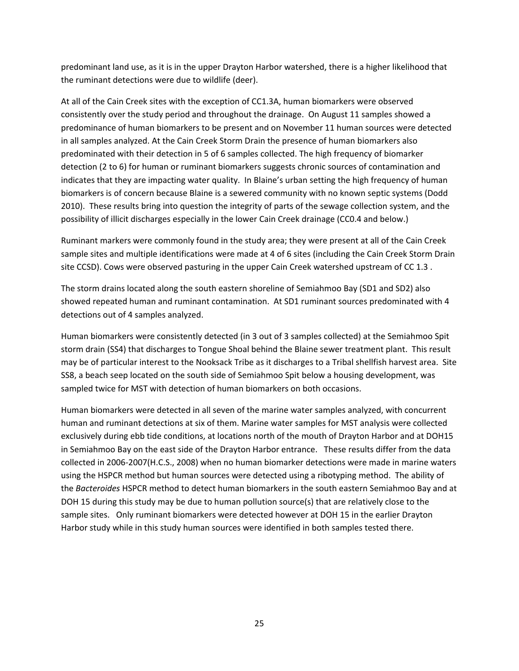predominant land use, as it is in the upper Drayton Harbor watershed, there is a higher likelihood that the ruminant detections were due to wildlife (deer).

At all of the Cain Creek sites with the exception of CC1.3A, human biomarkers were observed consistently over the study period and throughout the drainage. On August 11 samples showed a predominance of human biomarkers to be present and on November 11 human sources were detected in all samples analyzed. At the Cain Creek Storm Drain the presence of human biomarkers also predominated with their detection in 5 of 6 samples collected. The high frequency of biomarker detection (2 to 6) for human or ruminant biomarkers suggests chronic sources of contamination and indicates that they are impacting water quality. In Blaine's urban setting the high frequency of human biomarkers is of concern because Blaine is a sewered community with no known septic systems (Dodd 2010). These results bring into question the integrity of parts of the sewage collection system, and the possibility of illicit discharges especially in the lower Cain Creek drainage (CC0.4 and below.)

Ruminant markers were commonly found in the study area; they were present at all of the Cain Creek sample sites and multiple identifications were made at 4 of 6 sites (including the Cain Creek Storm Drain site CCSD). Cows were observed pasturing in the upper Cain Creek watershed upstream of CC 1.3 .

The storm drains located along the south eastern shoreline of Semiahmoo Bay (SD1 and SD2) also showed repeated human and ruminant contamination. At SD1 ruminant sources predominated with 4 detections out of 4 samples analyzed.

Human biomarkers were consistently detected (in 3 out of 3 samples collected) at the Semiahmoo Spit storm drain (SS4) that discharges to Tongue Shoal behind the Blaine sewer treatment plant. This result may be of particular interest to the Nooksack Tribe as it discharges to a Tribal shellfish harvest area. Site SS8, a beach seep located on the south side of Semiahmoo Spit below a housing development, was sampled twice for MST with detection of human biomarkers on both occasions.

Human biomarkers were detected in all seven of the marine water samples analyzed, with concurrent human and ruminant detections at six of them. Marine water samples for MST analysis were collected exclusively during ebb tide conditions, at locations north of the mouth of Drayton Harbor and at DOH15 in Semiahmoo Bay on the east side of the Drayton Harbor entrance. These results differ from the data collected in 2006-2007(H.C.S., 2008) when no human biomarker detections were made in marine waters using the HSPCR method but human sources were detected using a ribotyping method. The ability of the *Bacteroides* HSPCR method to detect human biomarkers in the south eastern Semiahmoo Bay and at DOH 15 during this study may be due to human pollution source(s) that are relatively close to the sample sites. Only ruminant biomarkers were detected however at DOH 15 in the earlier Drayton Harbor study while in this study human sources were identified in both samples tested there.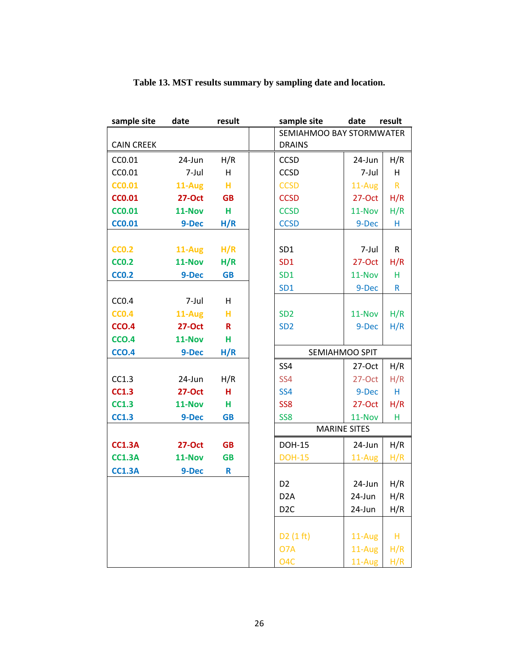<span id="page-30-0"></span>

| sample site       | date          | result    |                  | sample site              | date     | result       |  |
|-------------------|---------------|-----------|------------------|--------------------------|----------|--------------|--|
|                   |               |           |                  | SEMIAHMOO BAY STORMWATER |          |              |  |
| <b>CAIN CREEK</b> |               |           | <b>DRAINS</b>    |                          |          |              |  |
| CC0.01            | 24-Jun        | H/R       | CCSD             |                          | 24-Jun   | H/R          |  |
| CC0.01            | 7-Jul         | H         | CCSD             |                          | 7-Jul    | н            |  |
| <b>CC0.01</b>     | 11-Aug        | н         | <b>CCSD</b>      |                          | 11-Aug   | $\mathsf{R}$ |  |
| <b>CC0.01</b>     | <b>27-Oct</b> | <b>GB</b> | <b>CCSD</b>      |                          | 27-Oct   | H/R          |  |
| <b>CCO.01</b>     | 11-Nov        | н         | <b>CCSD</b>      |                          | 11-Nov   | H/R          |  |
| <b>CCO.01</b>     | 9-Dec         | H/R       | <b>CCSD</b>      |                          | 9-Dec    | н            |  |
|                   |               |           |                  |                          |          |              |  |
| <b>CCO.2</b>      | 11-Aug        | H/R       | SD <sub>1</sub>  |                          | 7-Jul    | R            |  |
| <b>CCO.2</b>      | 11-Nov        | H/R       | SD <sub>1</sub>  |                          | 27-Oct   | H/R          |  |
| <b>CCO.2</b>      | 9-Dec         | <b>GB</b> | SD <sub>1</sub>  |                          | 11-Nov   | н            |  |
|                   |               |           | SD <sub>1</sub>  |                          | 9-Dec    | R            |  |
| CCO.4             | 7-Jul         | H         |                  |                          |          |              |  |
| <b>CCO.4</b>      | 11-Aug        | н         | SD <sub>2</sub>  |                          | 11-Nov   | H/R          |  |
| <b>CCO.4</b>      | <b>27-Oct</b> | R         | SD <sub>2</sub>  |                          | 9-Dec    | H/R          |  |
| <b>CCO.4</b>      | 11-Nov        | н         |                  |                          |          |              |  |
| <b>CCO.4</b>      | 9-Dec         | H/R       |                  | SEMIAHMOO SPIT           |          |              |  |
|                   |               |           | SS4              |                          | $27-Oct$ | H/R          |  |
| CC1.3             | 24-Jun        | H/R       | SS <sub>4</sub>  |                          | 27-Oct   | H/R          |  |
| <b>CC1.3</b>      | <b>27-Oct</b> | н         | <b>SS4</b>       |                          | 9-Dec    | H            |  |
| <b>CC1.3</b>      | 11-Nov        | н         | SS <sub>8</sub>  |                          | $27-Oct$ | H/R          |  |
| <b>CC1.3</b>      | 9-Dec         | <b>GB</b> | SS <sub>8</sub>  |                          | 11-Nov   | н            |  |
|                   |               |           |                  | <b>MARINE SITES</b>      |          |              |  |
| <b>CC1.3A</b>     | <b>27-Oct</b> | <b>GB</b> | <b>DOH-15</b>    |                          | 24-Jun   | H/R          |  |
| <b>CC1.3A</b>     | 11-Nov        | <b>GB</b> | <b>DOH-15</b>    |                          | 11-Aug   | H/R          |  |
| <b>CC1.3A</b>     | 9-Dec         | R         |                  |                          |          |              |  |
|                   |               |           | D <sub>2</sub>   |                          | 24-Jun   | H/R          |  |
|                   |               |           | D <sub>2</sub> A |                          | 24-Jun   | H/R          |  |
|                   |               |           | D <sub>2</sub> C |                          | 24-Jun   | H/R          |  |
|                   |               |           |                  |                          |          |              |  |
|                   |               |           | D2(1 ft)         |                          | 11-Aug   | H            |  |
|                   |               |           | O <sub>7</sub> A |                          | 11-Aug   | H/R          |  |
|                   |               |           | O <sub>4</sub> C |                          | 11-Aug   | H/R          |  |

### **Table 13. MST results summary by sampling date and location.**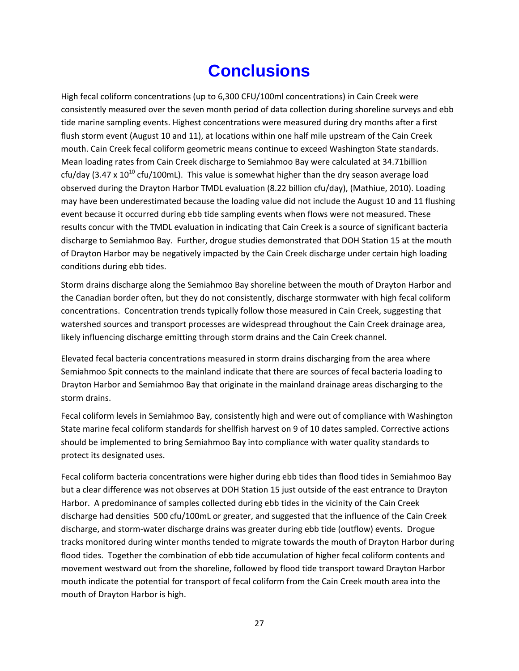# **Conclusions**

<span id="page-31-0"></span>High fecal coliform concentrations (up to 6,300 CFU/100ml concentrations) in Cain Creek were consistently measured over the seven month period of data collection during shoreline surveys and ebb tide marine sampling events. Highest concentrations were measured during dry months after a first flush storm event (August 10 and 11), at locations within one half mile upstream of the Cain Creek mouth. Cain Creek fecal coliform geometric means continue to exceed Washington State standards. Mean loading rates from Cain Creek discharge to Semiahmoo Bay were calculated at 34.71billion cfu/day (3.47 x  $10^{10}$  cfu/100mL). This value is somewhat higher than the dry season average load observed during the Drayton Harbor TMDL evaluation (8.22 billion cfu/day), (Mathiue, 2010). Loading may have been underestimated because the loading value did not include the August 10 and 11 flushing event because it occurred during ebb tide sampling events when flows were not measured. These results concur with the TMDL evaluation in indicating that Cain Creek is a source of significant bacteria discharge to Semiahmoo Bay. Further, drogue studies demonstrated that DOH Station 15 at the mouth of Drayton Harbor may be negatively impacted by the Cain Creek discharge under certain high loading conditions during ebb tides.

Storm drains discharge along the Semiahmoo Bay shoreline between the mouth of Drayton Harbor and the Canadian border often, but they do not consistently, discharge stormwater with high fecal coliform concentrations. Concentration trends typically follow those measured in Cain Creek, suggesting that watershed sources and transport processes are widespread throughout the Cain Creek drainage area, likely influencing discharge emitting through storm drains and the Cain Creek channel.

Elevated fecal bacteria concentrations measured in storm drains discharging from the area where Semiahmoo Spit connects to the mainland indicate that there are sources of fecal bacteria loading to Drayton Harbor and Semiahmoo Bay that originate in the mainland drainage areas discharging to the storm drains.

Fecal coliform levels in Semiahmoo Bay, consistently high and were out of compliance with Washington State marine fecal coliform standards for shellfish harvest on 9 of 10 dates sampled. Corrective actions should be implemented to bring Semiahmoo Bay into compliance with water quality standards to protect its designated uses.

Fecal coliform bacteria concentrations were higher during ebb tides than flood tides in Semiahmoo Bay but a clear difference was not observes at DOH Station 15 just outside of the east entrance to Drayton Harbor. A predominance of samples collected during ebb tides in the vicinity of the Cain Creek discharge had densities 500 cfu/100mL or greater, and suggested that the influence of the Cain Creek discharge, and storm-water discharge drains was greater during ebb tide (outflow) events. Drogue tracks monitored during winter months tended to migrate towards the mouth of Drayton Harbor during flood tides. Together the combination of ebb tide accumulation of higher fecal coliform contents and movement westward out from the shoreline, followed by flood tide transport toward Drayton Harbor mouth indicate the potential for transport of fecal coliform from the Cain Creek mouth area into the mouth of Drayton Harbor is high.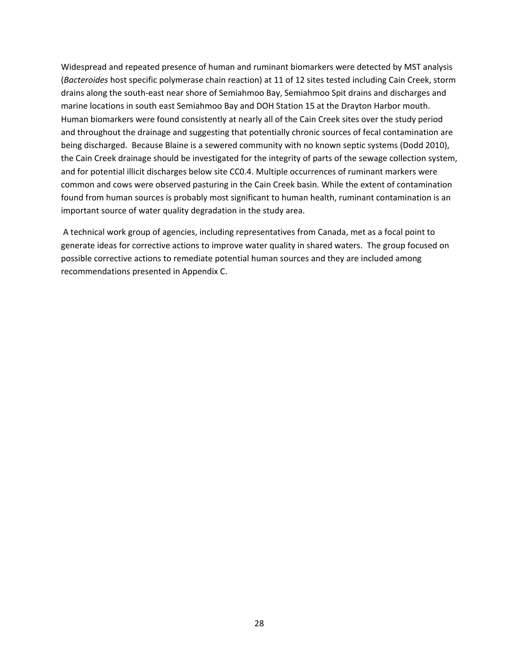Widespread and repeated presence of human and ruminant biomarkers were detected by MST analysis (*Bacteroides* host specific polymerase chain reaction) at 11 of 12 sites tested including Cain Creek, storm drains along the south-east near shore of Semiahmoo Bay, Semiahmoo Spit drains and discharges and marine locations in south east Semiahmoo Bay and DOH Station 15 at the Drayton Harbor mouth. Human biomarkers were found consistently at nearly all of the Cain Creek sites over the study period and throughout the drainage and suggesting that potentially chronic sources of fecal contamination are being discharged. Because Blaine is a sewered community with no known septic systems (Dodd 2010), the Cain Creek drainage should be investigated for the integrity of parts of the sewage collection system, and for potential illicit discharges below site CC0.4. Multiple occurrences of ruminant markers were common and cows were observed pasturing in the Cain Creek basin. While the extent of contamination found from human sources is probably most significant to human health, ruminant contamination is an important source of water quality degradation in the study area.

A technical work group of agencies, including representatives from Canada, met as a focal point to generate ideas for corrective actions to improve water quality in shared waters. The group focused on possible corrective actions to remediate potential human sources and they are included among recommendations presented in Appendix C.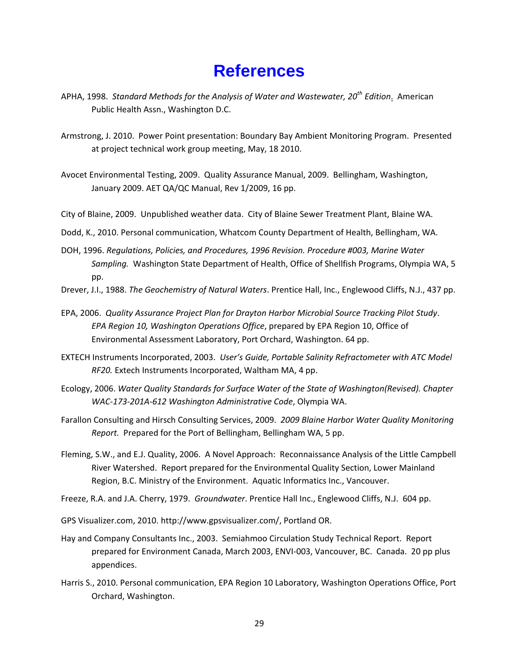## **References**

- <span id="page-33-0"></span>APHA, 1998. *Standard Methods for the Analysis of Water and Wastewater, 20th Edition*. American Public Health Assn., Washington D.C.
- Armstrong, J. 2010. Power Point presentation: Boundary Bay Ambient Monitoring Program. Presented at project technical work group meeting, May, 18 2010.
- Avocet Environmental Testing, 2009. Quality Assurance Manual, 2009. Bellingham, Washington, January 2009. AET QA/QC Manual, Rev 1/2009, 16 pp.
- City of Blaine, 2009. Unpublished weather data. City of Blaine Sewer Treatment Plant, Blaine WA.
- Dodd, K., 2010. Personal communication, Whatcom County Department of Health, Bellingham, WA.
- DOH, 1996. *Regulations, Policies, and Procedures, 1996 Revision. Procedure #003, Marine Water Sampling.* Washington State Department of Health, Office of Shellfish Programs, Olympia WA, 5 pp.
- Drever, J.I., 1988. *The Geochemistry of Natural Waters*. Prentice Hall, Inc., Englewood Cliffs, N.J., 437 pp.
- EPA, 2006. *Quality Assurance Project Plan for Drayton Harbor Microbial Source Tracking Pilot Study*. *EPA Region 10, Washington Operations Office*, prepared by EPA Region 10, Office of Environmental Assessment Laboratory, Port Orchard, Washington. 64 pp.
- EXTECH Instruments Incorporated, 2003. *User's Guide, Portable Salinity Refractometer with ATC Model RF20.* Extech Instruments Incorporated, Waltham MA, 4 pp.
- Ecology, 2006. *Water Quality Standards for Surface Water of the State of Washington(Revised). Chapter WAC-173-201A-612 Washington Administrative Code*, Olympia WA.
- Farallon Consulting and Hirsch Consulting Services, 2009. *2009 Blaine Harbor Water Quality Monitoring Report.* Prepared for the Port of Bellingham, Bellingham WA, 5 pp.
- Fleming, S.W., and E.J. Quality, 2006. A Novel Approach: Reconnaissance Analysis of the Little Campbell River Watershed. Report prepared for the Environmental Quality Section, Lower Mainland Region, B.C. Ministry of the Environment. Aquatic Informatics Inc., Vancouver.
- Freeze, R.A. and J.A. Cherry, 1979. *Groundwater*. Prentice Hall Inc., Englewood Cliffs, N.J. 604 pp.
- GPS Visualizer.com, 2010. [http://www.gpsvisualizer.com/,](http://www.gpsvisualizer.com/) Portland OR.
- Hay and Company Consultants Inc., 2003. Semiahmoo Circulation Study Technical Report. Report prepared for Environment Canada, March 2003, ENVI-003, Vancouver, BC. Canada. 20 pp plus appendices.
- Harris S., 2010. Personal communication, EPA Region 10 Laboratory, Washington Operations Office, Port Orchard, Washington.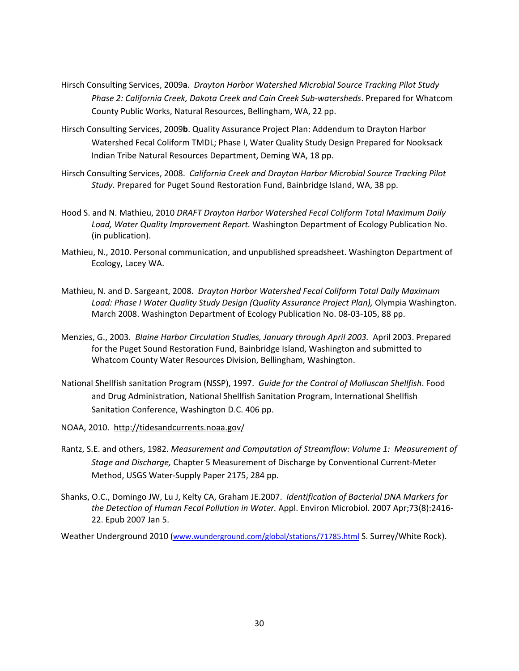- Hirsch Consulting Services, 2009**a**. *Drayton Harbor Watershed Microbial Source Tracking Pilot Study Phase 2: California Creek, Dakota Creek and Cain Creek Sub-watersheds*. Prepared for Whatcom County Public Works, Natural Resources, Bellingham, WA, 22 pp.
- Hirsch Consulting Services, 2009**b**. Quality Assurance Project Plan: Addendum to Drayton Harbor Watershed Fecal Coliform TMDL; Phase I, Water Quality Study Design Prepared for Nooksack Indian Tribe Natural Resources Department, Deming WA, 18 pp.
- Hirsch Consulting Services, 2008. *California Creek and Drayton Harbor Microbial Source Tracking Pilot Study.* Prepared for Puget Sound Restoration Fund, Bainbridge Island, WA, 38 pp.
- Hood S. and N. Mathieu, 2010 *DRAFT Drayton Harbor Watershed Fecal Coliform Total Maximum Daily Load, Water Quality Improvement Report.* Washington Department of Ecology Publication No. (in publication).
- Mathieu, N., 2010. Personal communication, and unpublished spreadsheet. Washington Department of Ecology, Lacey WA.
- Mathieu, N. and D. Sargeant, 2008. *Drayton Harbor Watershed Fecal Coliform Total Daily Maximum Load: Phase I Water Quality Study Design (Quality Assurance Project Plan),* Olympia Washington. March 2008. Washington Department of Ecology Publication No. 08-03-105, 88 pp.
- Menzies, G., 2003. *Blaine Harbor Circulation Studies, January through April 2003.* April 2003. Prepared for the Puget Sound Restoration Fund, Bainbridge Island, Washington and submitted to Whatcom County Water Resources Division, Bellingham, Washington.
- National Shellfish sanitation Program (NSSP), 1997. *Guide for the Control of Molluscan Shellfish*. Food and Drug Administration, National Shellfish Sanitation Program, International Shellfish Sanitation Conference, Washington D.C. 406 pp.
- NOAA, 2010. <http://tidesandcurrents.noaa.gov/>
- Rantz, S.E. and others, 1982. *Measurement and Computation of Streamflow: Volume 1: Measurement of Stage and Discharge,* Chapter 5 Measurement of Discharge by Conventional Current-Meter Method, USGS Water-Supply Paper 2175, 284 pp.
- Shanks, O.C., Domingo JW, Lu J, Kelty CA, Graham JE.2007. *[Identification of Bacterial DNA Markers for](http://www.ncbi.nlm.nih.gov/pubmed/17209067?ordinalpos=5&itool=EntrezSystem2.PEntrez.Pubmed.Pubmed_ResultsPanel.Pubmed_DefaultReportPanel.Pubmed_RVDocSum)  [the Detection of Human Fecal Pollution in Water.](http://www.ncbi.nlm.nih.gov/pubmed/17209067?ordinalpos=5&itool=EntrezSystem2.PEntrez.Pubmed.Pubmed_ResultsPanel.Pubmed_DefaultReportPanel.Pubmed_RVDocSum)* Appl. Environ Microbiol. 2007 Apr;73(8):2416- 22. Epub 2007 Jan 5.

Weather Underground 2010 [\(www.wunderground.com/global/stations/71785.html](http://www.wunderground.com/global/stations/71785.html) S. Surrey/White Rock).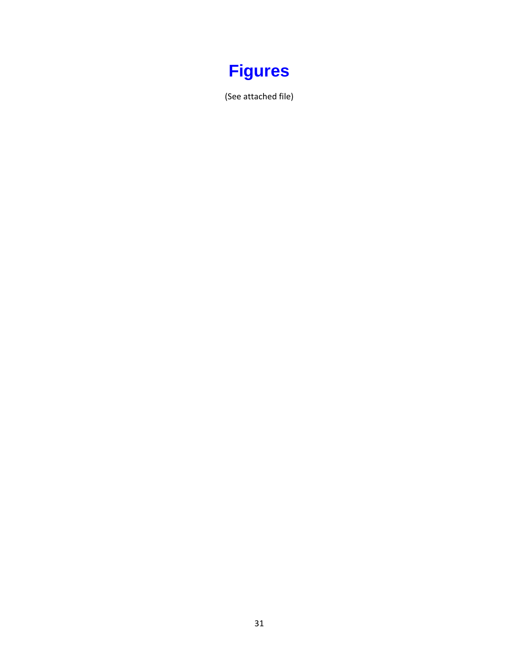<span id="page-35-0"></span>

(See attached file)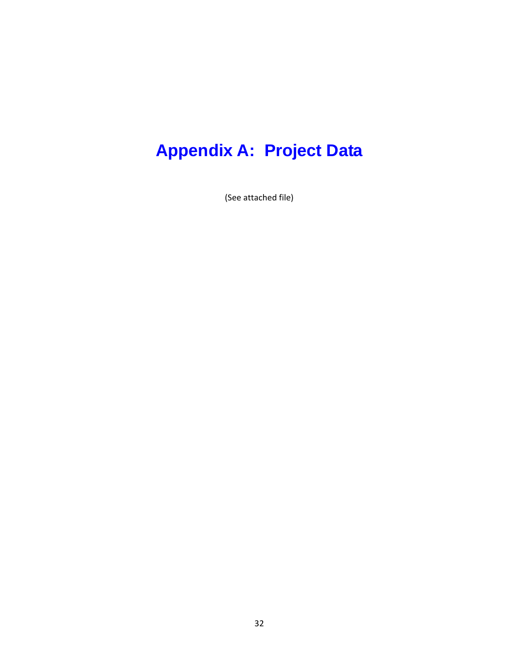# <span id="page-36-0"></span>**Appendix A: Project Data**

(See attached file)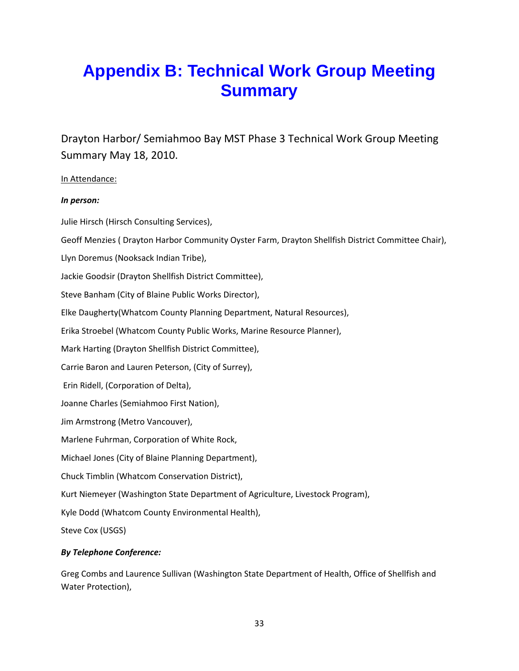# <span id="page-37-0"></span>**Appendix B: Technical Work Group Meeting Summary**

Drayton Harbor/ Semiahmoo Bay MST Phase 3 Technical Work Group Meeting Summary May 18, 2010.

### In Attendance:

### *In person:*

Julie Hirsch (Hirsch Consulting Services), Geoff Menzies ( Drayton Harbor Community Oyster Farm, Drayton Shellfish District Committee Chair), Llyn Doremus (Nooksack Indian Tribe), Jackie Goodsir (Drayton Shellfish District Committee), Steve Banham (City of Blaine Public Works Director), Elke Daugherty(Whatcom County Planning Department, Natural Resources), Erika Stroebel (Whatcom County Public Works, Marine Resource Planner), Mark Harting (Drayton Shellfish District Committee), Carrie Baron and Lauren Peterson, (City of Surrey), Erin Ridell, (Corporation of Delta), Joanne Charles (Semiahmoo First Nation), Jim Armstrong (Metro Vancouver), Marlene Fuhrman, Corporation of White Rock, Michael Jones (City of Blaine Planning Department), Chuck Timblin (Whatcom Conservation District), Kurt Niemeyer (Washington State Department of Agriculture, Livestock Program), Kyle Dodd (Whatcom County Environmental Health), Steve Cox (USGS) *By Telephone Conference:* 

Greg Combs and Laurence Sullivan (Washington State Department of Health, Office of Shellfish and Water Protection),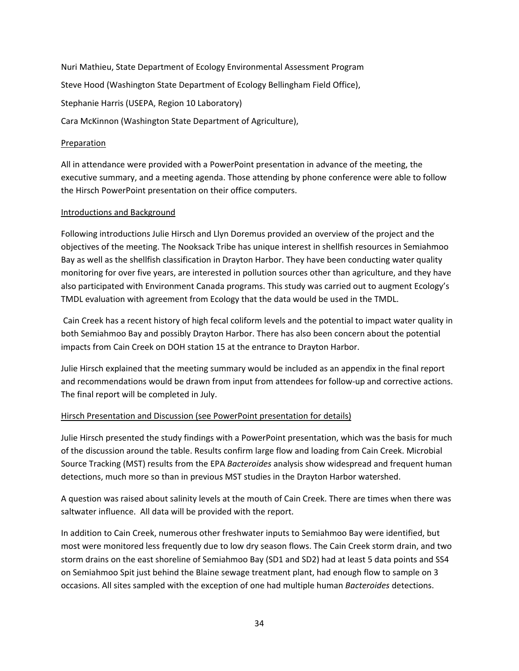Nuri Mathieu, State Department of Ecology Environmental Assessment Program Steve Hood (Washington State Department of Ecology Bellingham Field Office), Stephanie Harris (USEPA, Region 10 Laboratory) Cara McKinnon (Washington State Department of Agriculture),

#### Preparation

All in attendance were provided with a PowerPoint presentation in advance of the meeting, the executive summary, and a meeting agenda. Those attending by phone conference were able to follow the Hirsch PowerPoint presentation on their office computers.

#### Introductions and Background

Following introductions Julie Hirsch and Llyn Doremus provided an overview of the project and the objectives of the meeting. The Nooksack Tribe has unique interest in shellfish resources in Semiahmoo Bay as well as the shellfish classification in Drayton Harbor. They have been conducting water quality monitoring for over five years, are interested in pollution sources other than agriculture, and they have also participated with Environment Canada programs. This study was carried out to augment Ecology's TMDL evaluation with agreement from Ecology that the data would be used in the TMDL.

Cain Creek has a recent history of high fecal coliform levels and the potential to impact water quality in both Semiahmoo Bay and possibly Drayton Harbor. There has also been concern about the potential impacts from Cain Creek on DOH station 15 at the entrance to Drayton Harbor.

Julie Hirsch explained that the meeting summary would be included as an appendix in the final report and recommendations would be drawn from input from attendees for follow-up and corrective actions. The final report will be completed in July.

### Hirsch Presentation and Discussion (see PowerPoint presentation for details)

Julie Hirsch presented the study findings with a PowerPoint presentation, which was the basis for much of the discussion around the table. Results confirm large flow and loading from Cain Creek. Microbial Source Tracking (MST) results from the EPA *Bacteroides* analysis show widespread and frequent human detections, much more so than in previous MST studies in the Drayton Harbor watershed.

A question was raised about salinity levels at the mouth of Cain Creek. There are times when there was saltwater influence. All data will be provided with the report.

In addition to Cain Creek, numerous other freshwater inputs to Semiahmoo Bay were identified, but most were monitored less frequently due to low dry season flows. The Cain Creek storm drain, and two storm drains on the east shoreline of Semiahmoo Bay (SD1 and SD2) had at least 5 data points and SS4 on Semiahmoo Spit just behind the Blaine sewage treatment plant, had enough flow to sample on 3 occasions. All sites sampled with the exception of one had multiple human *Bacteroides* detections.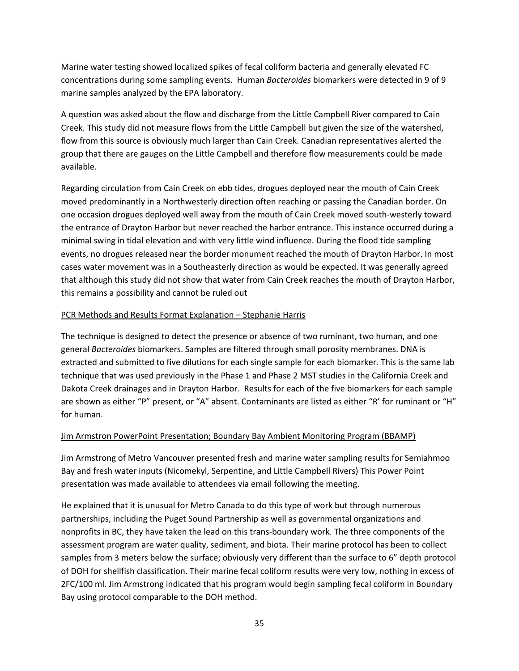Marine water testing showed localized spikes of fecal coliform bacteria and generally elevated FC concentrations during some sampling events. Human *Bacteroides* biomarkers were detected in 9 of 9 marine samples analyzed by the EPA laboratory.

A question was asked about the flow and discharge from the Little Campbell River compared to Cain Creek. This study did not measure flows from the Little Campbell but given the size of the watershed, flow from this source is obviously much larger than Cain Creek. Canadian representatives alerted the group that there are gauges on the Little Campbell and therefore flow measurements could be made available.

Regarding circulation from Cain Creek on ebb tides, drogues deployed near the mouth of Cain Creek moved predominantly in a Northwesterly direction often reaching or passing the Canadian border. On one occasion drogues deployed well away from the mouth of Cain Creek moved south-westerly toward the entrance of Drayton Harbor but never reached the harbor entrance. This instance occurred during a minimal swing in tidal elevation and with very little wind influence. During the flood tide sampling events, no drogues released near the border monument reached the mouth of Drayton Harbor. In most cases water movement was in a Southeasterly direction as would be expected. It was generally agreed that although this study did not show that water from Cain Creek reaches the mouth of Drayton Harbor, this remains a possibility and cannot be ruled out

### PCR Methods and Results Format Explanation – Stephanie Harris

The technique is designed to detect the presence or absence of two ruminant, two human, and one general *Bacteroides* biomarkers. Samples are filtered through small porosity membranes. DNA is extracted and submitted to five dilutions for each single sample for each biomarker. This is the same lab technique that was used previously in the Phase 1 and Phase 2 MST studies in the California Creek and Dakota Creek drainages and in Drayton Harbor. Results for each of the five biomarkers for each sample are shown as either "P" present, or "A" absent. Contaminants are listed as either "R' for ruminant or "H" for human.

### Jim Armstron PowerPoint Presentation; Boundary Bay Ambient Monitoring Program (BBAMP)

Jim Armstrong of Metro Vancouver presented fresh and marine water sampling results for Semiahmoo Bay and fresh water inputs (Nicomekyl, Serpentine, and Little Campbell Rivers) This Power Point presentation was made available to attendees via email following the meeting.

He explained that it is unusual for Metro Canada to do this type of work but through numerous partnerships, including the Puget Sound Partnership as well as governmental organizations and nonprofits in BC, they have taken the lead on this trans-boundary work. The three components of the assessment program are water quality, sediment, and biota. Their marine protocol has been to collect samples from 3 meters below the surface; obviously very different than the surface to 6" depth protocol of DOH for shellfish classification. Their marine fecal coliform results were very low, nothing in excess of 2FC/100 ml. Jim Armstrong indicated that his program would begin sampling fecal coliform in Boundary Bay using protocol comparable to the DOH method.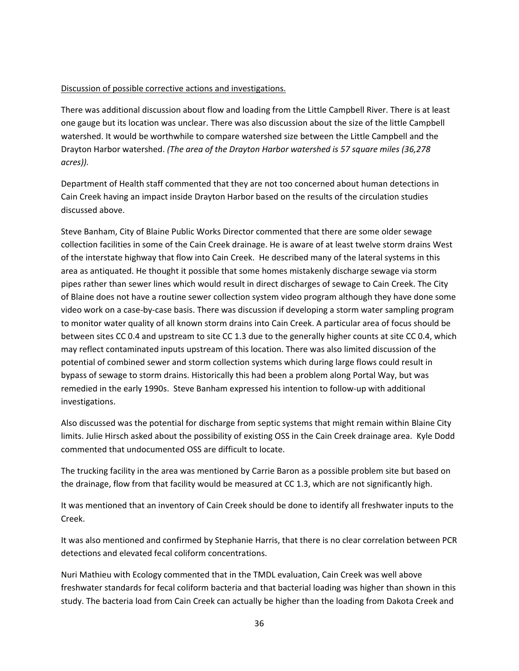### Discussion of possible corrective actions and investigations.

There was additional discussion about flow and loading from the Little Campbell River. There is at least one gauge but its location was unclear. There was also discussion about the size of the little Campbell watershed. It would be worthwhile to compare watershed size between the Little Campbell and the Drayton Harbor watershed. *(The area of the Drayton Harbor watershed is 57 square miles (36,278 acres)).* 

Department of Health staff commented that they are not too concerned about human detections in Cain Creek having an impact inside Drayton Harbor based on the results of the circulation studies discussed above.

Steve Banham, City of Blaine Public Works Director commented that there are some older sewage collection facilities in some of the Cain Creek drainage. He is aware of at least twelve storm drains West of the interstate highway that flow into Cain Creek. He described many of the lateral systems in this area as antiquated. He thought it possible that some homes mistakenly discharge sewage via storm pipes rather than sewer lines which would result in direct discharges of sewage to Cain Creek. The City of Blaine does not have a routine sewer collection system video program although they have done some video work on a case-by-case basis. There was discussion if developing a storm water sampling program to monitor water quality of all known storm drains into Cain Creek. A particular area of focus should be between sites CC 0.4 and upstream to site CC 1.3 due to the generally higher counts at site CC 0.4, which may reflect contaminated inputs upstream of this location. There was also limited discussion of the potential of combined sewer and storm collection systems which during large flows could result in bypass of sewage to storm drains. Historically this had been a problem along Portal Way, but was remedied in the early 1990s. Steve Banham expressed his intention to follow-up with additional investigations.

Also discussed was the potential for discharge from septic systems that might remain within Blaine City limits. Julie Hirsch asked about the possibility of existing OSS in the Cain Creek drainage area. Kyle Dodd commented that undocumented OSS are difficult to locate.

The trucking facility in the area was mentioned by Carrie Baron as a possible problem site but based on the drainage, flow from that facility would be measured at CC 1.3, which are not significantly high.

It was mentioned that an inventory of Cain Creek should be done to identify all freshwater inputs to the Creek.

It was also mentioned and confirmed by Stephanie Harris, that there is no clear correlation between PCR detections and elevated fecal coliform concentrations.

Nuri Mathieu with Ecology commented that in the TMDL evaluation, Cain Creek was well above freshwater standards for fecal coliform bacteria and that bacterial loading was higher than shown in this study. The bacteria load from Cain Creek can actually be higher than the loading from Dakota Creek and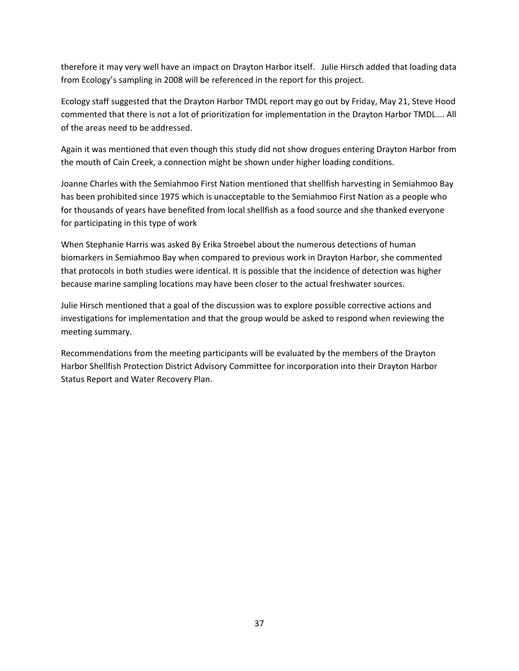therefore it may very well have an impact on Drayton Harbor itself. Julie Hirsch added that loading data from Ecology's sampling in 2008 will be referenced in the report for this project.

Ecology staff suggested that the Drayton Harbor TMDL report may go out by Friday, May 21, Steve Hood commented that there is not a lot of prioritization for implementation in the Drayton Harbor TMDL…. All of the areas need to be addressed.

Again it was mentioned that even though this study did not show drogues entering Drayton Harbor from the mouth of Cain Creek, a connection might be shown under higher loading conditions.

Joanne Charles with the Semiahmoo First Nation mentioned that shellfish harvesting in Semiahmoo Bay has been prohibited since 1975 which is unacceptable to the Semiahmoo First Nation as a people who for thousands of years have benefited from local shellfish as a food source and she thanked everyone for participating in this type of work

When Stephanie Harris was asked By Erika Stroebel about the numerous detections of human biomarkers in Semiahmoo Bay when compared to previous work in Drayton Harbor, she commented that protocols in both studies were identical. It is possible that the incidence of detection was higher because marine sampling locations may have been closer to the actual freshwater sources.

Julie Hirsch mentioned that a goal of the discussion was to explore possible corrective actions and investigations for implementation and that the group would be asked to respond when reviewing the meeting summary.

Recommendations from the meeting participants will be evaluated by the members of the Drayton Harbor Shellfish Protection District Advisory Committee for incorporation into their Drayton Harbor Status Report and Water Recovery Plan.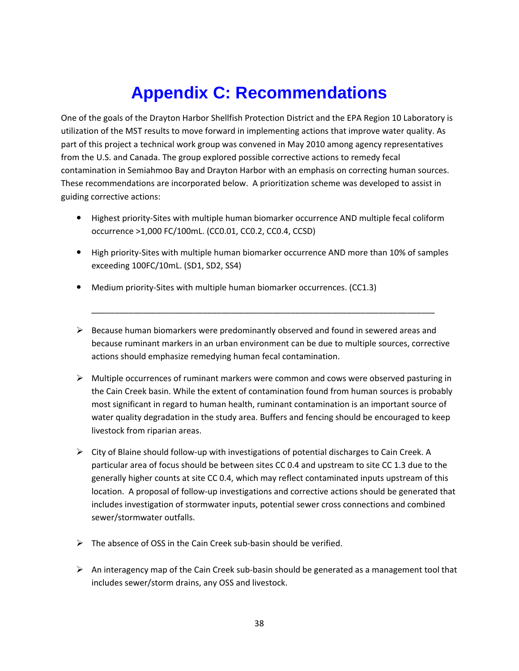# **Appendix C: Recommendations**

<span id="page-42-0"></span>One of the goals of the Drayton Harbor Shellfish Protection District and the EPA Region 10 Laboratory is utilization of the MST results to move forward in implementing actions that improve water quality. As part of this project a technical work group was convened in May 2010 among agency representatives from the U.S. and Canada. The group explored possible corrective actions to remedy fecal contamination in Semiahmoo Bay and Drayton Harbor with an emphasis on correcting human sources. These recommendations are incorporated below. A prioritization scheme was developed to assist in guiding corrective actions:

- Highest priority-Sites with multiple human biomarker occurrence AND multiple fecal coliform occurrence >1,000 FC/100mL. (CC0.01, CC0.2, CC0.4, CCSD)
- High priority-Sites with multiple human biomarker occurrence AND more than 10% of samples exceeding 100FC/10mL. (SD1, SD2, SS4)
- Medium priority-Sites with multiple human biomarker occurrences. (CC1.3)
- $\triangleright$  Because human biomarkers were predominantly observed and found in sewered areas and because ruminant markers in an urban environment can be due to multiple sources, corrective actions should emphasize remedying human fecal contamination.
- $\triangleright$  Multiple occurrences of ruminant markers were common and cows were observed pasturing in the Cain Creek basin. While the extent of contamination found from human sources is probably most significant in regard to human health, ruminant contamination is an important source of water quality degradation in the study area. Buffers and fencing should be encouraged to keep livestock from riparian areas.
- $\triangleright$  City of Blaine should follow-up with investigations of potential discharges to Cain Creek. A particular area of focus should be between sites CC 0.4 and upstream to site CC 1.3 due to the generally higher counts at site CC 0.4, which may reflect contaminated inputs upstream of this location. A proposal of follow-up investigations and corrective actions should be generated that includes investigation of stormwater inputs, potential sewer cross connections and combined sewer/stormwater outfalls.
- $\triangleright$  The absence of OSS in the Cain Creek sub-basin should be verified.
- $\triangleright$  An interagency map of the Cain Creek sub-basin should be generated as a management tool that includes sewer/storm drains, any OSS and livestock.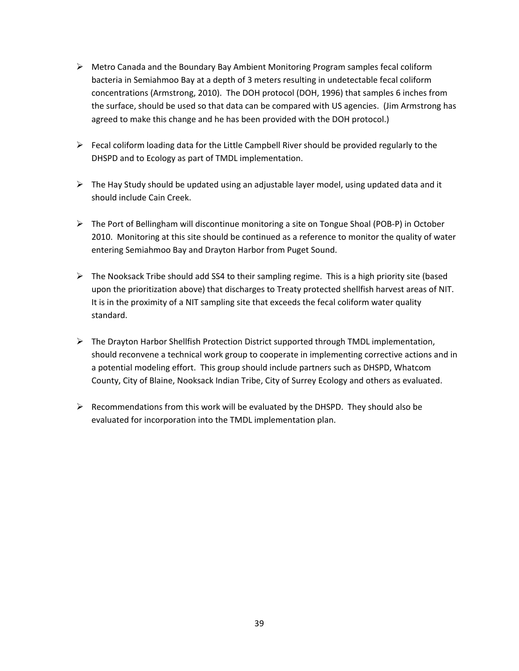- $\triangleright$  Metro Canada and the Boundary Bay Ambient Monitoring Program samples fecal coliform bacteria in Semiahmoo Bay at a depth of 3 meters resulting in undetectable fecal coliform concentrations (Armstrong, 2010). The DOH protocol (DOH, 1996) that samples 6 inches from the surface, should be used so that data can be compared with US agencies. (Jim Armstrong has agreed to make this change and he has been provided with the DOH protocol.)
- $\triangleright$  Fecal coliform loading data for the Little Campbell River should be provided regularly to the DHSPD and to Ecology as part of TMDL implementation.
- $\triangleright$  The Hay Study should be updated using an adjustable layer model, using updated data and it should include Cain Creek.
- $\triangleright$  The Port of Bellingham will discontinue monitoring a site on Tongue Shoal (POB-P) in October 2010. Monitoring at this site should be continued as a reference to monitor the quality of water entering Semiahmoo Bay and Drayton Harbor from Puget Sound.
- $\triangleright$  The Nooksack Tribe should add SS4 to their sampling regime. This is a high priority site (based upon the prioritization above) that discharges to Treaty protected shellfish harvest areas of NIT. It is in the proximity of a NIT sampling site that exceeds the fecal coliform water quality standard.
- $\triangleright$  The Drayton Harbor Shellfish Protection District supported through TMDL implementation, should reconvene a technical work group to cooperate in implementing corrective actions and in a potential modeling effort. This group should include partners such as DHSPD, Whatcom County, City of Blaine, Nooksack Indian Tribe, City of Surrey Ecology and others as evaluated.
- $\triangleright$  Recommendations from this work will be evaluated by the DHSPD. They should also be evaluated for incorporation into the TMDL implementation plan.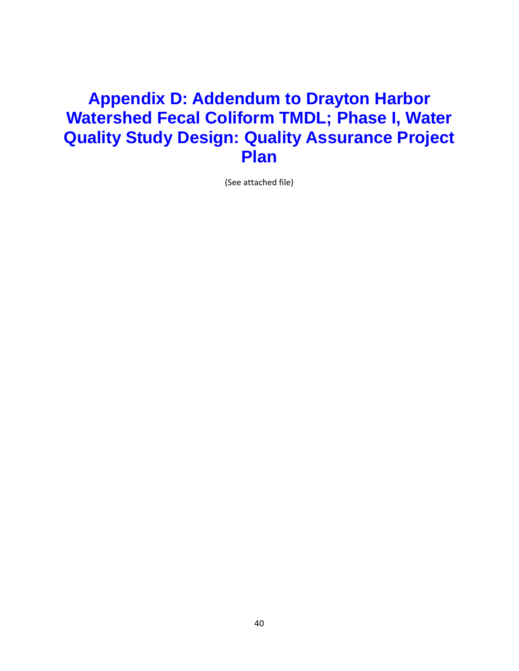## <span id="page-44-0"></span>**Appendix D: Addendum to Drayton Harbor Watershed Fecal Coliform TMDL; Phase I, Water Quality Study Design: Quality Assurance Project Plan**

(See attached file)